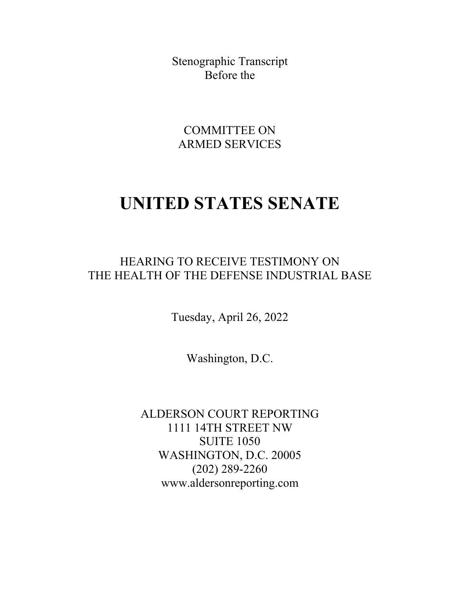Stenographic Transcript Before the

COMMITTEE ON ARMED SERVICES

## **UNITED STATES SENATE**

HEARING TO RECEIVE TESTIMONY ON THE HEALTH OF THE DEFENSE INDUSTRIAL BASE

Tuesday, April 26, 2022

Washington, D.C.

ALDERSON COURT REPORTING 1111 14TH STREET NW SUITE 1050 WASHINGTON, D.C. 20005 (202) 289-2260 www.aldersonreporting.com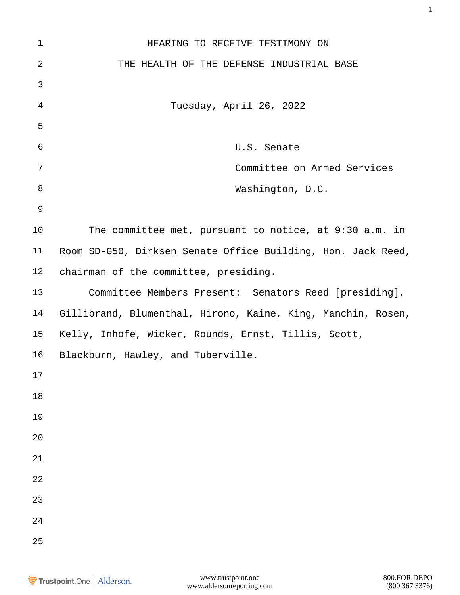| $\mathbf 1$ | HEARING TO RECEIVE TESTIMONY ON                              |
|-------------|--------------------------------------------------------------|
| $\sqrt{2}$  | THE HEALTH OF THE DEFENSE INDUSTRIAL BASE                    |
| 3           |                                                              |
| 4           | Tuesday, April 26, 2022                                      |
| 5           |                                                              |
| 6           | U.S. Senate                                                  |
| 7           | Committee on Armed Services                                  |
| 8           | Washington, D.C.                                             |
| 9           |                                                              |
| 10          | The committee met, pursuant to notice, at 9:30 a.m. in       |
| 11          | Room SD-G50, Dirksen Senate Office Building, Hon. Jack Reed, |
| 12          | chairman of the committee, presiding.                        |
| 13          | Committee Members Present: Senators Reed [presiding],        |
| 14          | Gillibrand, Blumenthal, Hirono, Kaine, King, Manchin, Rosen, |
| 15          | Kelly, Inhofe, Wicker, Rounds, Ernst, Tillis, Scott,         |
| 16          | Blackburn, Hawley, and Tuberville.                           |
| $17$        |                                                              |
| $18\,$      |                                                              |
| 19          |                                                              |
| 20          |                                                              |
| 21          |                                                              |
| 22          |                                                              |
| 23          |                                                              |
| 24          |                                                              |
| 25          |                                                              |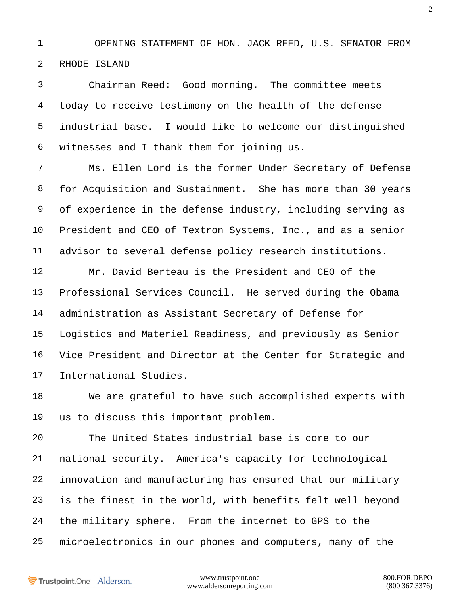OPENING STATEMENT OF HON. JACK REED, U.S. SENATOR FROM RHODE ISLAND

 Chairman Reed: Good morning. The committee meets today to receive testimony on the health of the defense industrial base. I would like to welcome our distinguished witnesses and I thank them for joining us.

 Ms. Ellen Lord is the former Under Secretary of Defense for Acquisition and Sustainment. She has more than 30 years of experience in the defense industry, including serving as President and CEO of Textron Systems, Inc., and as a senior advisor to several defense policy research institutions.

 Mr. David Berteau is the President and CEO of the Professional Services Council. He served during the Obama administration as Assistant Secretary of Defense for Logistics and Materiel Readiness, and previously as Senior Vice President and Director at the Center for Strategic and International Studies.

 We are grateful to have such accomplished experts with us to discuss this important problem.

 The United States industrial base is core to our national security. America's capacity for technological innovation and manufacturing has ensured that our military is the finest in the world, with benefits felt well beyond the military sphere. From the internet to GPS to the microelectronics in our phones and computers, many of the

Trustpoint.One Alderson.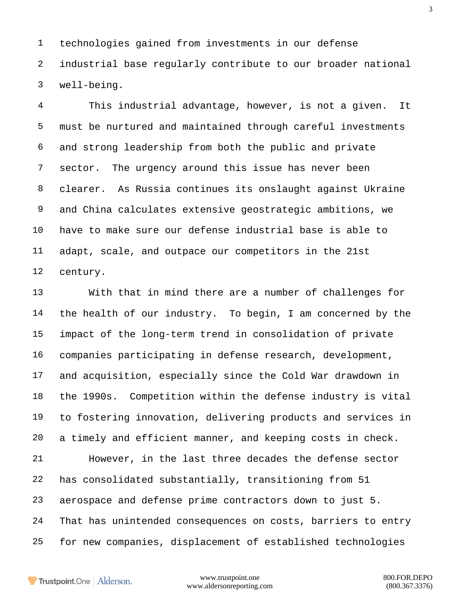technologies gained from investments in our defense industrial base regularly contribute to our broader national well-being.

 This industrial advantage, however, is not a given. It must be nurtured and maintained through careful investments and strong leadership from both the public and private sector. The urgency around this issue has never been clearer. As Russia continues its onslaught against Ukraine and China calculates extensive geostrategic ambitions, we have to make sure our defense industrial base is able to adapt, scale, and outpace our competitors in the 21st century.

 With that in mind there are a number of challenges for the health of our industry. To begin, I am concerned by the impact of the long-term trend in consolidation of private companies participating in defense research, development, and acquisition, especially since the Cold War drawdown in the 1990s. Competition within the defense industry is vital to fostering innovation, delivering products and services in a timely and efficient manner, and keeping costs in check. However, in the last three decades the defense sector has consolidated substantially, transitioning from 51 aerospace and defense prime contractors down to just 5. That has unintended consequences on costs, barriers to entry for new companies, displacement of established technologies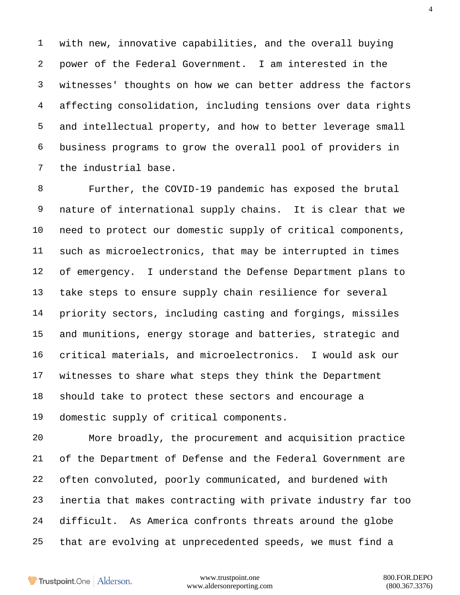with new, innovative capabilities, and the overall buying power of the Federal Government. I am interested in the witnesses' thoughts on how we can better address the factors affecting consolidation, including tensions over data rights and intellectual property, and how to better leverage small business programs to grow the overall pool of providers in the industrial base.

 Further, the COVID-19 pandemic has exposed the brutal nature of international supply chains. It is clear that we need to protect our domestic supply of critical components, such as microelectronics, that may be interrupted in times 12 of emergency. I understand the Defense Department plans to take steps to ensure supply chain resilience for several priority sectors, including casting and forgings, missiles and munitions, energy storage and batteries, strategic and critical materials, and microelectronics. I would ask our witnesses to share what steps they think the Department should take to protect these sectors and encourage a domestic supply of critical components.

 More broadly, the procurement and acquisition practice of the Department of Defense and the Federal Government are often convoluted, poorly communicated, and burdened with inertia that makes contracting with private industry far too difficult. As America confronts threats around the globe that are evolving at unprecedented speeds, we must find a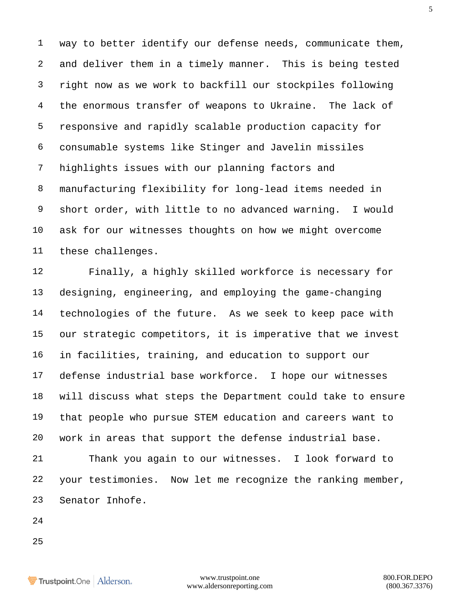way to better identify our defense needs, communicate them, and deliver them in a timely manner. This is being tested right now as we work to backfill our stockpiles following the enormous transfer of weapons to Ukraine. The lack of responsive and rapidly scalable production capacity for consumable systems like Stinger and Javelin missiles highlights issues with our planning factors and manufacturing flexibility for long-lead items needed in short order, with little to no advanced warning. I would ask for our witnesses thoughts on how we might overcome these challenges.

 Finally, a highly skilled workforce is necessary for designing, engineering, and employing the game-changing technologies of the future. As we seek to keep pace with our strategic competitors, it is imperative that we invest in facilities, training, and education to support our defense industrial base workforce. I hope our witnesses will discuss what steps the Department could take to ensure that people who pursue STEM education and careers want to work in areas that support the defense industrial base.

 Thank you again to our witnesses. I look forward to your testimonies. Now let me recognize the ranking member, Senator Inhofe.

- 
-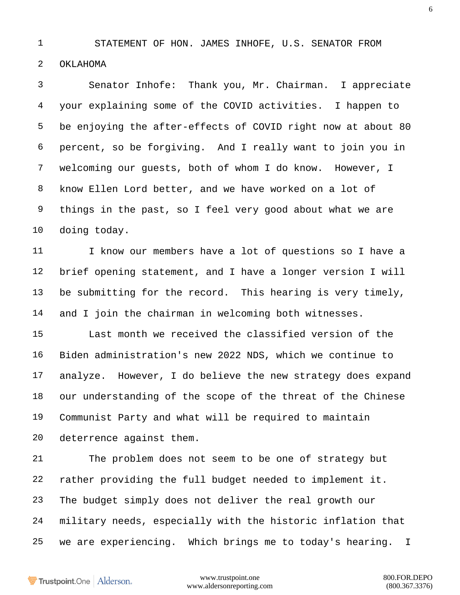STATEMENT OF HON. JAMES INHOFE, U.S. SENATOR FROM

OKLAHOMA

 Senator Inhofe: Thank you, Mr. Chairman. I appreciate your explaining some of the COVID activities. I happen to be enjoying the after-effects of COVID right now at about 80 percent, so be forgiving. And I really want to join you in welcoming our guests, both of whom I do know. However, I know Ellen Lord better, and we have worked on a lot of things in the past, so I feel very good about what we are doing today.

 I know our members have a lot of questions so I have a brief opening statement, and I have a longer version I will be submitting for the record. This hearing is very timely, and I join the chairman in welcoming both witnesses.

 Last month we received the classified version of the Biden administration's new 2022 NDS, which we continue to analyze. However, I do believe the new strategy does expand our understanding of the scope of the threat of the Chinese Communist Party and what will be required to maintain deterrence against them.

 The problem does not seem to be one of strategy but rather providing the full budget needed to implement it. The budget simply does not deliver the real growth our military needs, especially with the historic inflation that we are experiencing. Which brings me to today's hearing. I

Trustpoint.One Alderson.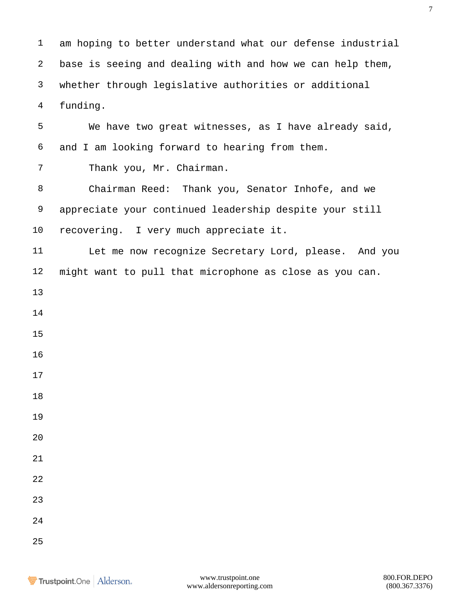am hoping to better understand what our defense industrial base is seeing and dealing with and how we can help them, whether through legislative authorities or additional funding.

 We have two great witnesses, as I have already said, and I am looking forward to hearing from them. Thank you, Mr. Chairman. Chairman Reed: Thank you, Senator Inhofe, and we appreciate your continued leadership despite your still recovering. I very much appreciate it. Let me now recognize Secretary Lord, please. And you might want to pull that microphone as close as you can.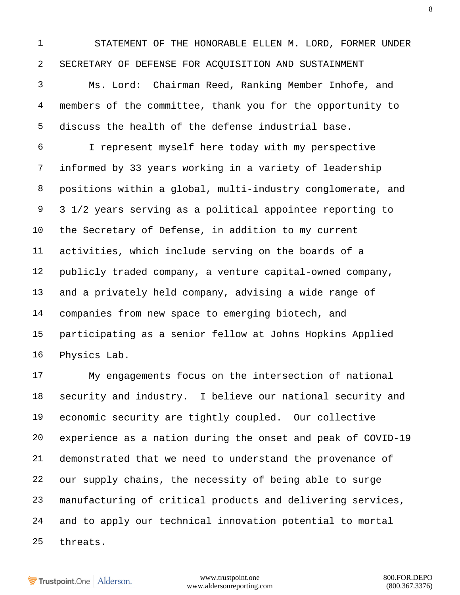STATEMENT OF THE HONORABLE ELLEN M. LORD, FORMER UNDER SECRETARY OF DEFENSE FOR ACQUISITION AND SUSTAINMENT

 Ms. Lord: Chairman Reed, Ranking Member Inhofe, and members of the committee, thank you for the opportunity to discuss the health of the defense industrial base.

 I represent myself here today with my perspective informed by 33 years working in a variety of leadership positions within a global, multi-industry conglomerate, and 3 1/2 years serving as a political appointee reporting to the Secretary of Defense, in addition to my current activities, which include serving on the boards of a publicly traded company, a venture capital-owned company, and a privately held company, advising a wide range of companies from new space to emerging biotech, and participating as a senior fellow at Johns Hopkins Applied Physics Lab.

 My engagements focus on the intersection of national security and industry. I believe our national security and economic security are tightly coupled. Our collective experience as a nation during the onset and peak of COVID-19 demonstrated that we need to understand the provenance of our supply chains, the necessity of being able to surge manufacturing of critical products and delivering services, and to apply our technical innovation potential to mortal threats.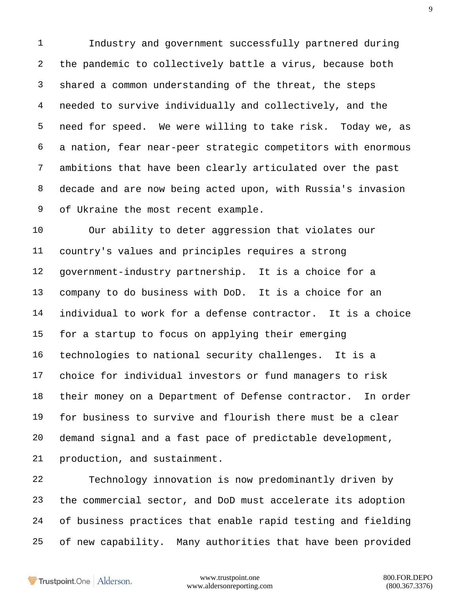Industry and government successfully partnered during the pandemic to collectively battle a virus, because both shared a common understanding of the threat, the steps needed to survive individually and collectively, and the need for speed. We were willing to take risk. Today we, as a nation, fear near-peer strategic competitors with enormous ambitions that have been clearly articulated over the past decade and are now being acted upon, with Russia's invasion of Ukraine the most recent example.

 Our ability to deter aggression that violates our country's values and principles requires a strong government-industry partnership. It is a choice for a company to do business with DoD. It is a choice for an individual to work for a defense contractor. It is a choice for a startup to focus on applying their emerging technologies to national security challenges. It is a choice for individual investors or fund managers to risk their money on a Department of Defense contractor. In order for business to survive and flourish there must be a clear demand signal and a fast pace of predictable development, production, and sustainment.

 Technology innovation is now predominantly driven by the commercial sector, and DoD must accelerate its adoption of business practices that enable rapid testing and fielding of new capability. Many authorities that have been provided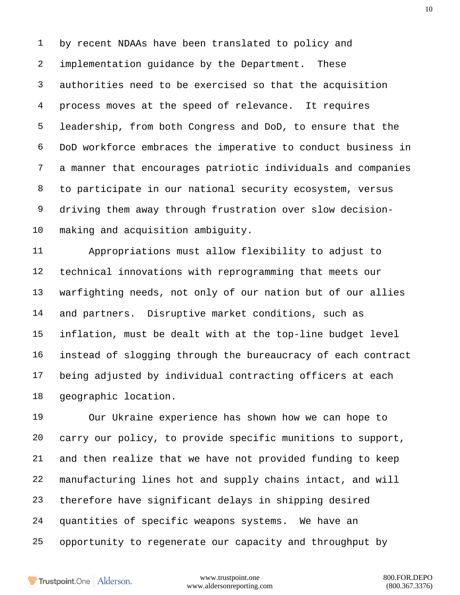by recent NDAAs have been translated to policy and implementation guidance by the Department. These authorities need to be exercised so that the acquisition process moves at the speed of relevance. It requires leadership, from both Congress and DoD, to ensure that the DoD workforce embraces the imperative to conduct business in a manner that encourages patriotic individuals and companies to participate in our national security ecosystem, versus driving them away through frustration over slow decision-making and acquisition ambiguity.

 Appropriations must allow flexibility to adjust to technical innovations with reprogramming that meets our warfighting needs, not only of our nation but of our allies and partners. Disruptive market conditions, such as inflation, must be dealt with at the top-line budget level instead of slogging through the bureaucracy of each contract being adjusted by individual contracting officers at each geographic location.

 Our Ukraine experience has shown how we can hope to carry our policy, to provide specific munitions to support, and then realize that we have not provided funding to keep manufacturing lines hot and supply chains intact, and will therefore have significant delays in shipping desired quantities of specific weapons systems. We have an opportunity to regenerate our capacity and throughput by

Trustpoint.One Alderson.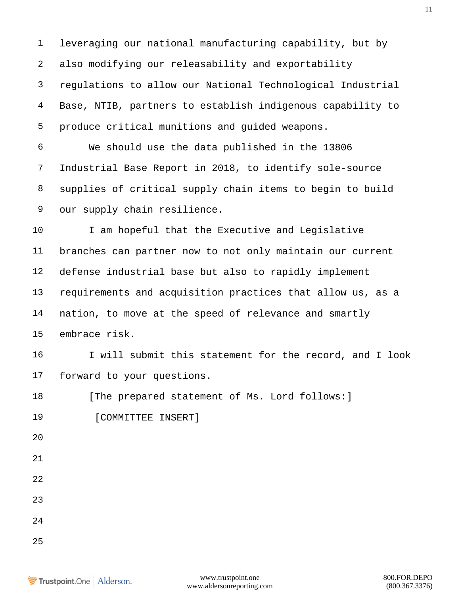leveraging our national manufacturing capability, but by also modifying our releasability and exportability regulations to allow our National Technological Industrial Base, NTIB, partners to establish indigenous capability to produce critical munitions and guided weapons. We should use the data published in the 13806 Industrial Base Report in 2018, to identify sole-source supplies of critical supply chain items to begin to build our supply chain resilience. 10 I am hopeful that the Executive and Legislative branches can partner now to not only maintain our current defense industrial base but also to rapidly implement requirements and acquisition practices that allow us, as a nation, to move at the speed of relevance and smartly embrace risk. I will submit this statement for the record, and I look forward to your questions. 18 [The prepared statement of Ms. Lord follows: ] 19 [COMMITTEE INSERT] 

- 
- 
-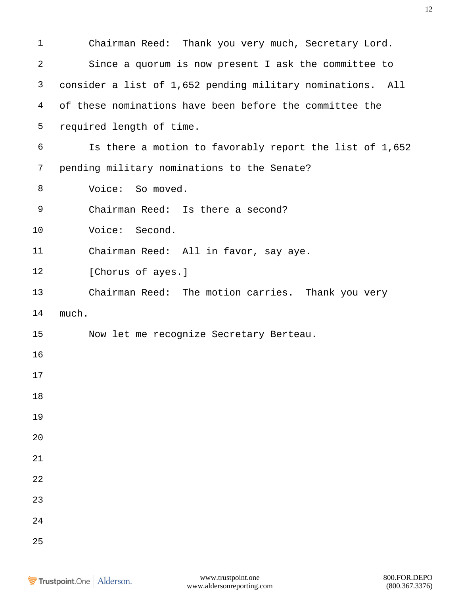| $\mathbf 1$ | Chairman Reed: Thank you very much, Secretary Lord.        |
|-------------|------------------------------------------------------------|
| 2           | Since a quorum is now present I ask the committee to       |
| 3           | consider a list of 1,652 pending military nominations. All |
| 4           | of these nominations have been before the committee the    |
| 5           | required length of time.                                   |
| 6           | Is there a motion to favorably report the list of 1,652    |
| 7           | pending military nominations to the Senate?                |
| 8           | Voice: So moved.                                           |
| 9           | Chairman Reed: Is there a second?                          |
| 10          | Voice: Second.                                             |
| 11          | Chairman Reed: All in favor, say aye.                      |
| 12          | [Chorus of ayes.]                                          |
| 13          | Chairman Reed: The motion carries. Thank you very          |
| 14          | much.                                                      |
| 15          | Now let me recognize Secretary Berteau.                    |
| 16          |                                                            |
| 17          |                                                            |
| 18          |                                                            |
| 19          |                                                            |
| 20          |                                                            |
| 21          |                                                            |
| 22          |                                                            |
| 23          |                                                            |
| 24          |                                                            |
| 25          |                                                            |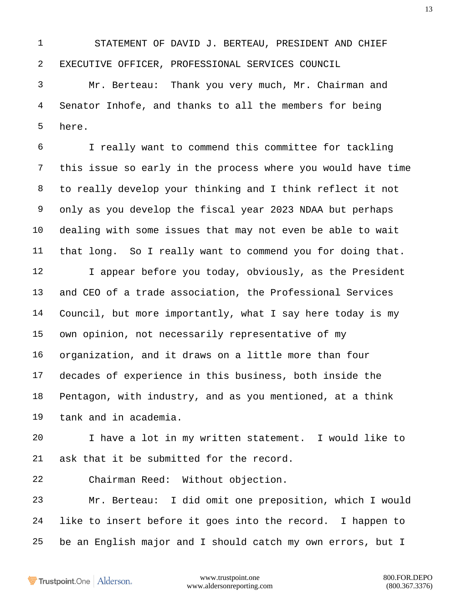STATEMENT OF DAVID J. BERTEAU, PRESIDENT AND CHIEF EXECUTIVE OFFICER, PROFESSIONAL SERVICES COUNCIL

 Mr. Berteau: Thank you very much, Mr. Chairman and Senator Inhofe, and thanks to all the members for being here.

 I really want to commend this committee for tackling this issue so early in the process where you would have time to really develop your thinking and I think reflect it not only as you develop the fiscal year 2023 NDAA but perhaps dealing with some issues that may not even be able to wait that long. So I really want to commend you for doing that. 12 I appear before you today, obviously, as the President and CEO of a trade association, the Professional Services Council, but more importantly, what I say here today is my own opinion, not necessarily representative of my organization, and it draws on a little more than four decades of experience in this business, both inside the Pentagon, with industry, and as you mentioned, at a think tank and in academia. I have a lot in my written statement. I would like to ask that it be submitted for the record. Chairman Reed: Without objection.

 Mr. Berteau: I did omit one preposition, which I would like to insert before it goes into the record. I happen to be an English major and I should catch my own errors, but I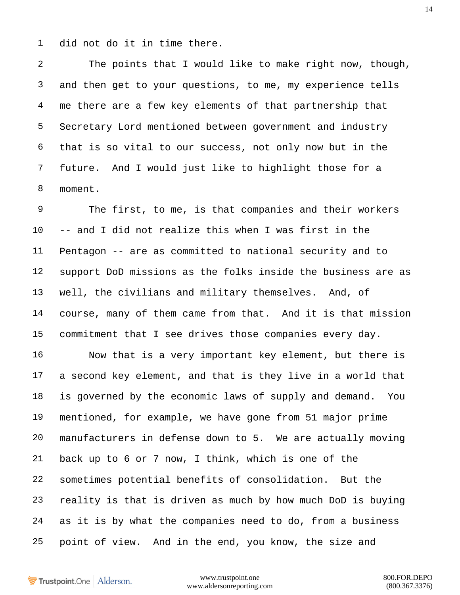did not do it in time there.

 The points that I would like to make right now, though, and then get to your questions, to me, my experience tells me there are a few key elements of that partnership that Secretary Lord mentioned between government and industry that is so vital to our success, not only now but in the future. And I would just like to highlight those for a moment.

 The first, to me, is that companies and their workers -- and I did not realize this when I was first in the Pentagon -- are as committed to national security and to support DoD missions as the folks inside the business are as well, the civilians and military themselves. And, of course, many of them came from that. And it is that mission commitment that I see drives those companies every day.

 Now that is a very important key element, but there is a second key element, and that is they live in a world that is governed by the economic laws of supply and demand. You mentioned, for example, we have gone from 51 major prime manufacturers in defense down to 5. We are actually moving back up to 6 or 7 now, I think, which is one of the sometimes potential benefits of consolidation. But the reality is that is driven as much by how much DoD is buying as it is by what the companies need to do, from a business point of view. And in the end, you know, the size and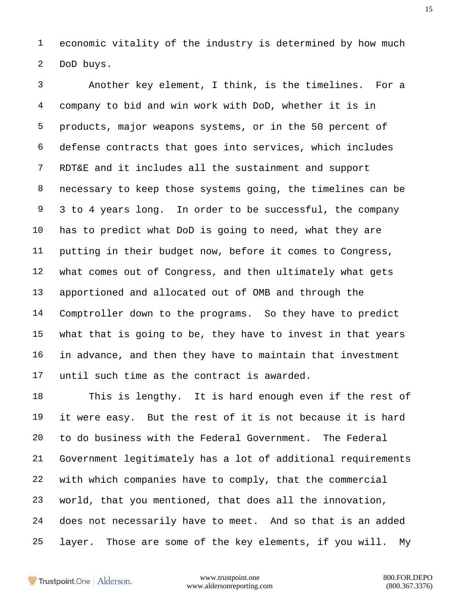economic vitality of the industry is determined by how much DoD buys.

 Another key element, I think, is the timelines. For a company to bid and win work with DoD, whether it is in products, major weapons systems, or in the 50 percent of defense contracts that goes into services, which includes RDT&E and it includes all the sustainment and support necessary to keep those systems going, the timelines can be 3 to 4 years long. In order to be successful, the company has to predict what DoD is going to need, what they are putting in their budget now, before it comes to Congress, what comes out of Congress, and then ultimately what gets apportioned and allocated out of OMB and through the Comptroller down to the programs. So they have to predict what that is going to be, they have to invest in that years in advance, and then they have to maintain that investment until such time as the contract is awarded.

 This is lengthy. It is hard enough even if the rest of it were easy. But the rest of it is not because it is hard to do business with the Federal Government. The Federal Government legitimately has a lot of additional requirements with which companies have to comply, that the commercial world, that you mentioned, that does all the innovation, does not necessarily have to meet. And so that is an added layer. Those are some of the key elements, if you will. My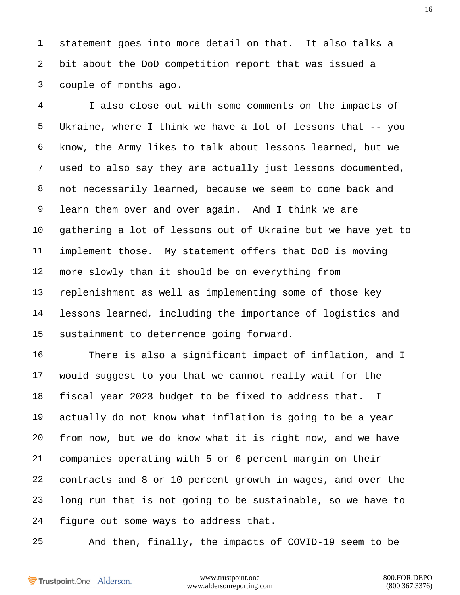statement goes into more detail on that. It also talks a bit about the DoD competition report that was issued a couple of months ago.

 I also close out with some comments on the impacts of Ukraine, where I think we have a lot of lessons that -- you know, the Army likes to talk about lessons learned, but we used to also say they are actually just lessons documented, not necessarily learned, because we seem to come back and learn them over and over again. And I think we are gathering a lot of lessons out of Ukraine but we have yet to implement those. My statement offers that DoD is moving more slowly than it should be on everything from replenishment as well as implementing some of those key lessons learned, including the importance of logistics and sustainment to deterrence going forward.

 There is also a significant impact of inflation, and I would suggest to you that we cannot really wait for the fiscal year 2023 budget to be fixed to address that. I actually do not know what inflation is going to be a year from now, but we do know what it is right now, and we have companies operating with 5 or 6 percent margin on their contracts and 8 or 10 percent growth in wages, and over the long run that is not going to be sustainable, so we have to figure out some ways to address that.

And then, finally, the impacts of COVID-19 seem to be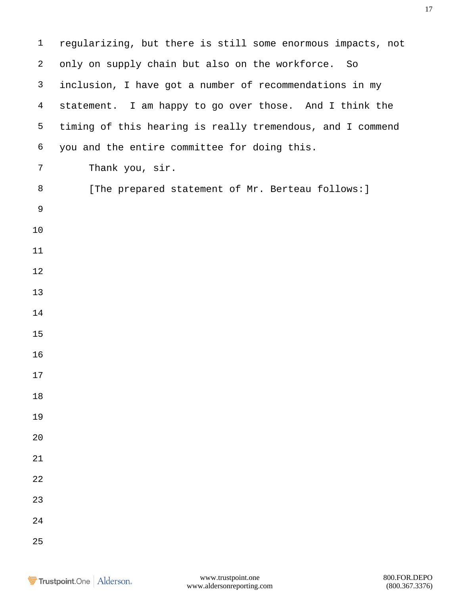| $\mathbf{1}$   | regularizing, but there is still some enormous impacts, not |
|----------------|-------------------------------------------------------------|
| 2              | only on supply chain but also on the workforce. So          |
| 3              | inclusion, I have got a number of recommendations in my     |
| $\overline{4}$ | statement. I am happy to go over those. And I think the     |
| 5              | timing of this hearing is really tremendous, and I commend  |
| 6              | you and the entire committee for doing this.                |
| 7              | Thank you, sir.                                             |
| 8              | [The prepared statement of Mr. Berteau follows: ]           |
| 9              |                                                             |
| 10             |                                                             |
| 11             |                                                             |
| 12             |                                                             |
| 13             |                                                             |
| 14             |                                                             |
| 15             |                                                             |
| 16             |                                                             |
| 17             |                                                             |
| 18             |                                                             |
| 19             |                                                             |
| 20             |                                                             |
| 21             |                                                             |
| 22             |                                                             |
| 23             |                                                             |
| 24             |                                                             |
| 25             |                                                             |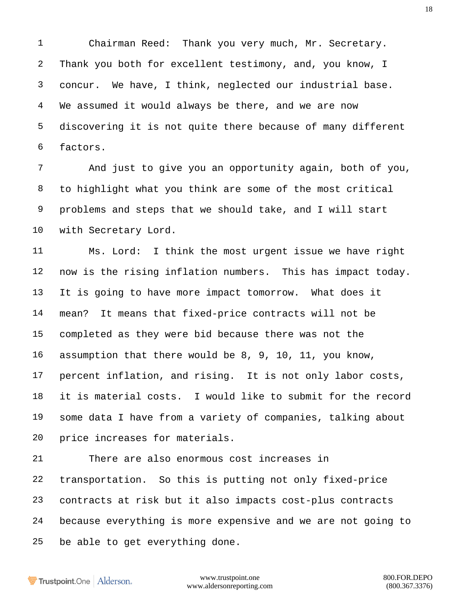Chairman Reed: Thank you very much, Mr. Secretary. Thank you both for excellent testimony, and, you know, I concur. We have, I think, neglected our industrial base. We assumed it would always be there, and we are now discovering it is not quite there because of many different factors.

 And just to give you an opportunity again, both of you, to highlight what you think are some of the most critical problems and steps that we should take, and I will start with Secretary Lord.

 Ms. Lord: I think the most urgent issue we have right now is the rising inflation numbers. This has impact today. It is going to have more impact tomorrow. What does it mean? It means that fixed-price contracts will not be completed as they were bid because there was not the assumption that there would be 8, 9, 10, 11, you know, percent inflation, and rising. It is not only labor costs, it is material costs. I would like to submit for the record some data I have from a variety of companies, talking about price increases for materials.

 There are also enormous cost increases in transportation. So this is putting not only fixed-price contracts at risk but it also impacts cost-plus contracts because everything is more expensive and we are not going to be able to get everything done.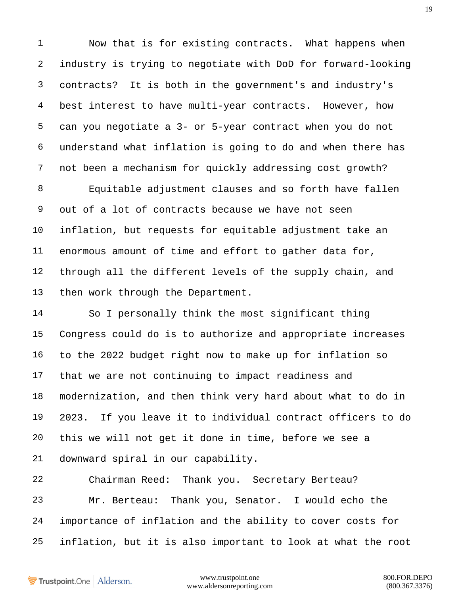Now that is for existing contracts. What happens when industry is trying to negotiate with DoD for forward-looking contracts? It is both in the government's and industry's best interest to have multi-year contracts. However, how can you negotiate a 3- or 5-year contract when you do not understand what inflation is going to do and when there has not been a mechanism for quickly addressing cost growth?

 Equitable adjustment clauses and so forth have fallen out of a lot of contracts because we have not seen inflation, but requests for equitable adjustment take an enormous amount of time and effort to gather data for, through all the different levels of the supply chain, and 13 then work through the Department.

 So I personally think the most significant thing Congress could do is to authorize and appropriate increases to the 2022 budget right now to make up for inflation so that we are not continuing to impact readiness and modernization, and then think very hard about what to do in 2023. If you leave it to individual contract officers to do this we will not get it done in time, before we see a downward spiral in our capability.

 Chairman Reed: Thank you. Secretary Berteau? Mr. Berteau: Thank you, Senator. I would echo the importance of inflation and the ability to cover costs for inflation, but it is also important to look at what the root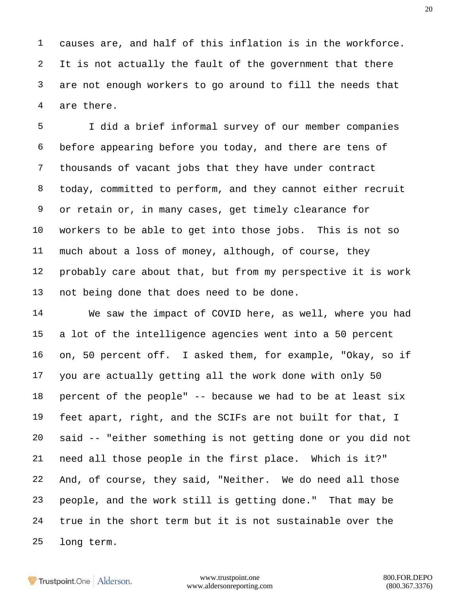causes are, and half of this inflation is in the workforce. It is not actually the fault of the government that there are not enough workers to go around to fill the needs that are there.

 I did a brief informal survey of our member companies before appearing before you today, and there are tens of thousands of vacant jobs that they have under contract today, committed to perform, and they cannot either recruit or retain or, in many cases, get timely clearance for workers to be able to get into those jobs. This is not so much about a loss of money, although, of course, they probably care about that, but from my perspective it is work not being done that does need to be done.

 We saw the impact of COVID here, as well, where you had a lot of the intelligence agencies went into a 50 percent on, 50 percent off. I asked them, for example, "Okay, so if you are actually getting all the work done with only 50 percent of the people" -- because we had to be at least six feet apart, right, and the SCIFs are not built for that, I said -- "either something is not getting done or you did not need all those people in the first place. Which is it?" And, of course, they said, "Neither. We do need all those people, and the work still is getting done." That may be true in the short term but it is not sustainable over the long term.

Trustpoint.One Alderson.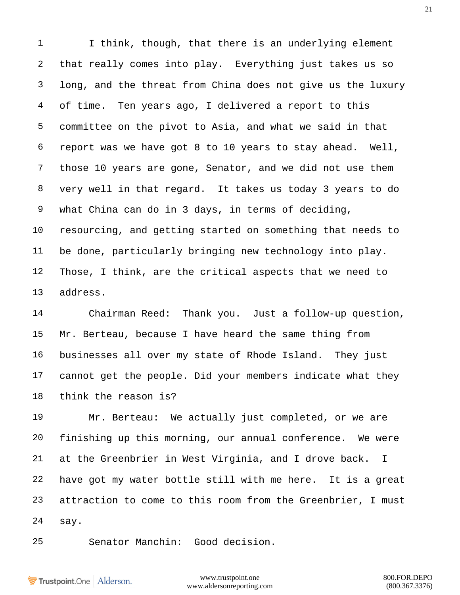1 I think, though, that there is an underlying element that really comes into play. Everything just takes us so long, and the threat from China does not give us the luxury of time. Ten years ago, I delivered a report to this committee on the pivot to Asia, and what we said in that report was we have got 8 to 10 years to stay ahead. Well, those 10 years are gone, Senator, and we did not use them very well in that regard. It takes us today 3 years to do what China can do in 3 days, in terms of deciding, resourcing, and getting started on something that needs to be done, particularly bringing new technology into play. Those, I think, are the critical aspects that we need to address.

 Chairman Reed: Thank you. Just a follow-up question, Mr. Berteau, because I have heard the same thing from businesses all over my state of Rhode Island. They just cannot get the people. Did your members indicate what they think the reason is?

 Mr. Berteau: We actually just completed, or we are finishing up this morning, our annual conference. We were at the Greenbrier in West Virginia, and I drove back. I have got my water bottle still with me here. It is a great attraction to come to this room from the Greenbrier, I must say.

Senator Manchin: Good decision.

Trustpoint.One Alderson.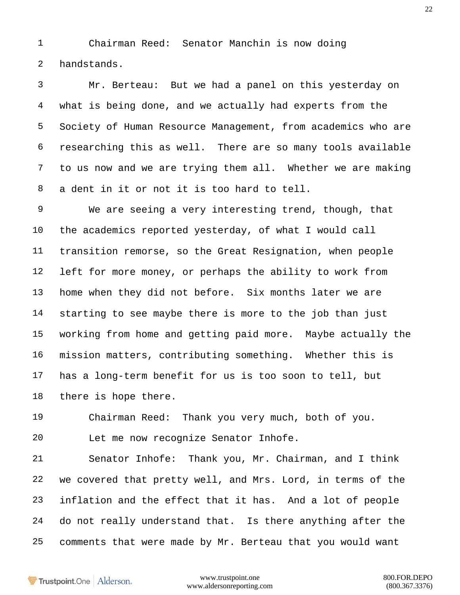Chairman Reed: Senator Manchin is now doing handstands.

 Mr. Berteau: But we had a panel on this yesterday on what is being done, and we actually had experts from the Society of Human Resource Management, from academics who are researching this as well. There are so many tools available to us now and we are trying them all. Whether we are making a dent in it or not it is too hard to tell.

 We are seeing a very interesting trend, though, that the academics reported yesterday, of what I would call transition remorse, so the Great Resignation, when people left for more money, or perhaps the ability to work from home when they did not before. Six months later we are starting to see maybe there is more to the job than just working from home and getting paid more. Maybe actually the mission matters, contributing something. Whether this is has a long-term benefit for us is too soon to tell, but there is hope there.

 Chairman Reed: Thank you very much, both of you. Let me now recognize Senator Inhofe.

 Senator Inhofe: Thank you, Mr. Chairman, and I think we covered that pretty well, and Mrs. Lord, in terms of the inflation and the effect that it has. And a lot of people do not really understand that. Is there anything after the comments that were made by Mr. Berteau that you would want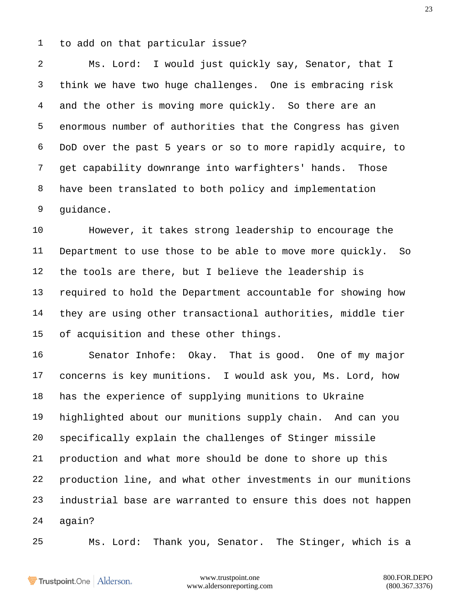to add on that particular issue?

 Ms. Lord: I would just quickly say, Senator, that I think we have two huge challenges. One is embracing risk and the other is moving more quickly. So there are an enormous number of authorities that the Congress has given DoD over the past 5 years or so to more rapidly acquire, to get capability downrange into warfighters' hands. Those have been translated to both policy and implementation guidance.

 However, it takes strong leadership to encourage the Department to use those to be able to move more quickly. So the tools are there, but I believe the leadership is required to hold the Department accountable for showing how they are using other transactional authorities, middle tier of acquisition and these other things.

 Senator Inhofe: Okay. That is good. One of my major concerns is key munitions. I would ask you, Ms. Lord, how has the experience of supplying munitions to Ukraine highlighted about our munitions supply chain. And can you specifically explain the challenges of Stinger missile production and what more should be done to shore up this production line, and what other investments in our munitions industrial base are warranted to ensure this does not happen again?

Ms. Lord: Thank you, Senator. The Stinger, which is a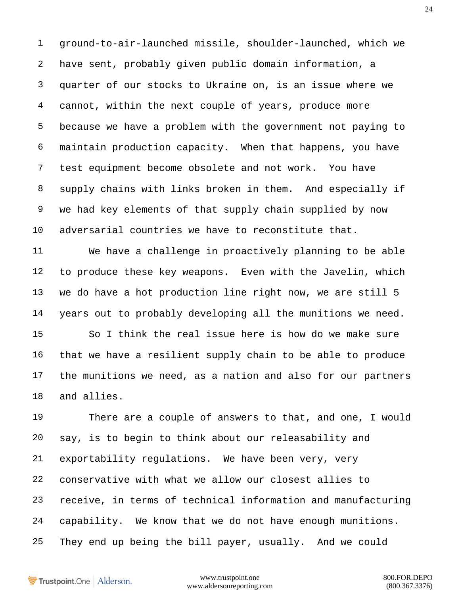ground-to-air-launched missile, shoulder-launched, which we have sent, probably given public domain information, a quarter of our stocks to Ukraine on, is an issue where we cannot, within the next couple of years, produce more because we have a problem with the government not paying to maintain production capacity. When that happens, you have test equipment become obsolete and not work. You have supply chains with links broken in them. And especially if we had key elements of that supply chain supplied by now adversarial countries we have to reconstitute that.

 We have a challenge in proactively planning to be able to produce these key weapons. Even with the Javelin, which we do have a hot production line right now, we are still 5 years out to probably developing all the munitions we need. So I think the real issue here is how do we make sure that we have a resilient supply chain to be able to produce the munitions we need, as a nation and also for our partners and allies.

 There are a couple of answers to that, and one, I would say, is to begin to think about our releasability and exportability regulations. We have been very, very conservative with what we allow our closest allies to receive, in terms of technical information and manufacturing capability. We know that we do not have enough munitions. They end up being the bill payer, usually. And we could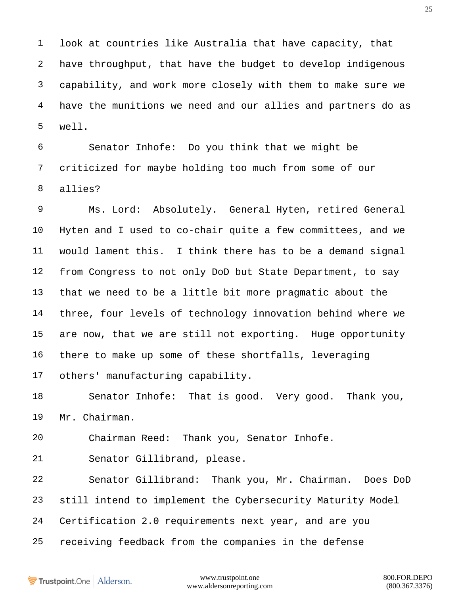look at countries like Australia that have capacity, that have throughput, that have the budget to develop indigenous capability, and work more closely with them to make sure we have the munitions we need and our allies and partners do as well.

 Senator Inhofe: Do you think that we might be criticized for maybe holding too much from some of our allies?

 Ms. Lord: Absolutely. General Hyten, retired General Hyten and I used to co-chair quite a few committees, and we would lament this. I think there has to be a demand signal from Congress to not only DoD but State Department, to say that we need to be a little bit more pragmatic about the three, four levels of technology innovation behind where we are now, that we are still not exporting. Huge opportunity there to make up some of these shortfalls, leveraging others' manufacturing capability.

 Senator Inhofe: That is good. Very good. Thank you, Mr. Chairman.

Chairman Reed: Thank you, Senator Inhofe.

Senator Gillibrand, please.

 Senator Gillibrand: Thank you, Mr. Chairman. Does DoD still intend to implement the Cybersecurity Maturity Model Certification 2.0 requirements next year, and are you receiving feedback from the companies in the defense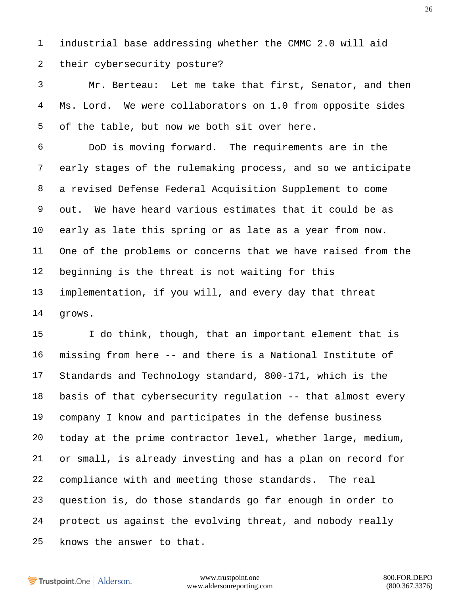industrial base addressing whether the CMMC 2.0 will aid their cybersecurity posture?

 Mr. Berteau: Let me take that first, Senator, and then 4 Ms. Lord. We were collaborators on 1.0 from opposite sides of the table, but now we both sit over here.

 DoD is moving forward. The requirements are in the early stages of the rulemaking process, and so we anticipate a revised Defense Federal Acquisition Supplement to come out. We have heard various estimates that it could be as early as late this spring or as late as a year from now. One of the problems or concerns that we have raised from the beginning is the threat is not waiting for this implementation, if you will, and every day that threat grows.

 I do think, though, that an important element that is missing from here -- and there is a National Institute of Standards and Technology standard, 800-171, which is the basis of that cybersecurity regulation -- that almost every company I know and participates in the defense business today at the prime contractor level, whether large, medium, or small, is already investing and has a plan on record for compliance with and meeting those standards. The real question is, do those standards go far enough in order to protect us against the evolving threat, and nobody really knows the answer to that.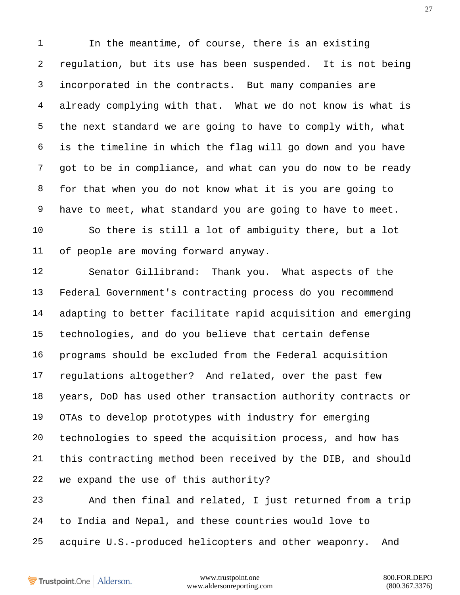In the meantime, of course, there is an existing regulation, but its use has been suspended. It is not being incorporated in the contracts. But many companies are already complying with that. What we do not know is what is the next standard we are going to have to comply with, what is the timeline in which the flag will go down and you have got to be in compliance, and what can you do now to be ready for that when you do not know what it is you are going to have to meet, what standard you are going to have to meet. So there is still a lot of ambiguity there, but a lot of people are moving forward anyway.

 Senator Gillibrand: Thank you. What aspects of the Federal Government's contracting process do you recommend adapting to better facilitate rapid acquisition and emerging technologies, and do you believe that certain defense programs should be excluded from the Federal acquisition regulations altogether? And related, over the past few years, DoD has used other transaction authority contracts or OTAs to develop prototypes with industry for emerging technologies to speed the acquisition process, and how has this contracting method been received by the DIB, and should we expand the use of this authority?

 And then final and related, I just returned from a trip to India and Nepal, and these countries would love to acquire U.S.-produced helicopters and other weaponry. And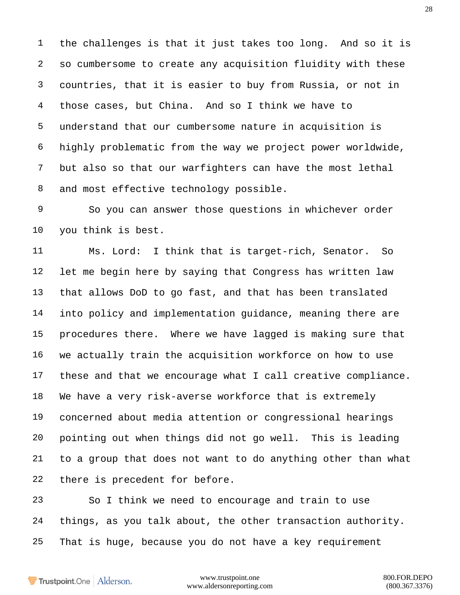the challenges is that it just takes too long. And so it is so cumbersome to create any acquisition fluidity with these countries, that it is easier to buy from Russia, or not in those cases, but China. And so I think we have to understand that our cumbersome nature in acquisition is highly problematic from the way we project power worldwide, but also so that our warfighters can have the most lethal and most effective technology possible.

 So you can answer those questions in whichever order you think is best.

 Ms. Lord: I think that is target-rich, Senator. So let me begin here by saying that Congress has written law that allows DoD to go fast, and that has been translated into policy and implementation guidance, meaning there are procedures there. Where we have lagged is making sure that we actually train the acquisition workforce on how to use these and that we encourage what I call creative compliance. We have a very risk-averse workforce that is extremely concerned about media attention or congressional hearings pointing out when things did not go well. This is leading to a group that does not want to do anything other than what there is precedent for before.

 So I think we need to encourage and train to use things, as you talk about, the other transaction authority. That is huge, because you do not have a key requirement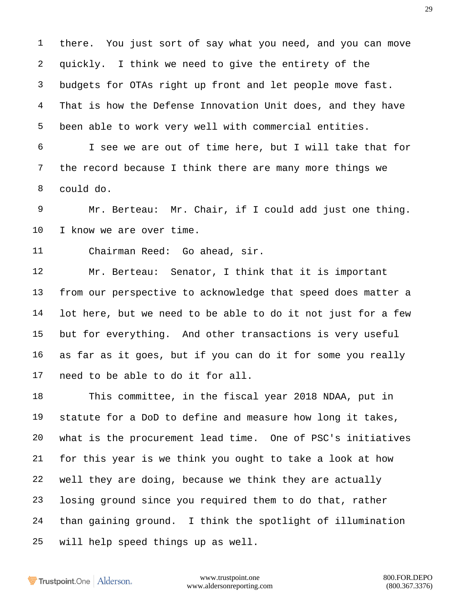there. You just sort of say what you need, and you can move quickly. I think we need to give the entirety of the budgets for OTAs right up front and let people move fast. 4 That is how the Defense Innovation Unit does, and they have been able to work very well with commercial entities.

 I see we are out of time here, but I will take that for the record because I think there are many more things we could do.

 Mr. Berteau: Mr. Chair, if I could add just one thing. I know we are over time.

Chairman Reed: Go ahead, sir.

 Mr. Berteau: Senator, I think that it is important from our perspective to acknowledge that speed does matter a lot here, but we need to be able to do it not just for a few but for everything. And other transactions is very useful as far as it goes, but if you can do it for some you really need to be able to do it for all.

 This committee, in the fiscal year 2018 NDAA, put in statute for a DoD to define and measure how long it takes, what is the procurement lead time. One of PSC's initiatives for this year is we think you ought to take a look at how well they are doing, because we think they are actually losing ground since you required them to do that, rather than gaining ground. I think the spotlight of illumination will help speed things up as well.

Trustpoint.One Alderson.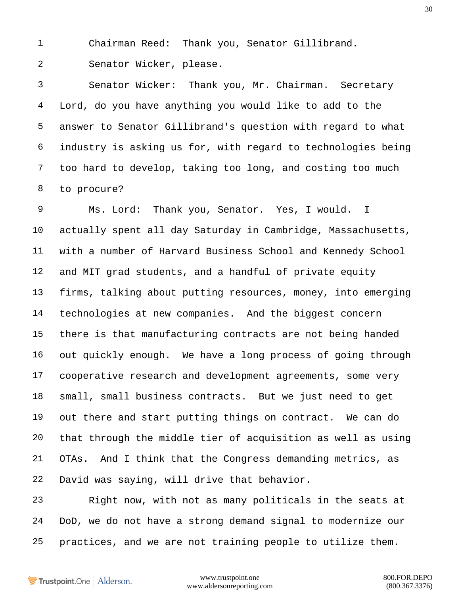Chairman Reed: Thank you, Senator Gillibrand.

Senator Wicker, please.

 Senator Wicker: Thank you, Mr. Chairman. Secretary Lord, do you have anything you would like to add to the answer to Senator Gillibrand's question with regard to what industry is asking us for, with regard to technologies being too hard to develop, taking too long, and costing too much to procure?

 Ms. Lord: Thank you, Senator. Yes, I would. I actually spent all day Saturday in Cambridge, Massachusetts, with a number of Harvard Business School and Kennedy School and MIT grad students, and a handful of private equity firms, talking about putting resources, money, into emerging technologies at new companies. And the biggest concern there is that manufacturing contracts are not being handed out quickly enough. We have a long process of going through cooperative research and development agreements, some very small, small business contracts. But we just need to get out there and start putting things on contract. We can do that through the middle tier of acquisition as well as using OTAs. And I think that the Congress demanding metrics, as David was saying, will drive that behavior.

 Right now, with not as many politicals in the seats at DoD, we do not have a strong demand signal to modernize our practices, and we are not training people to utilize them.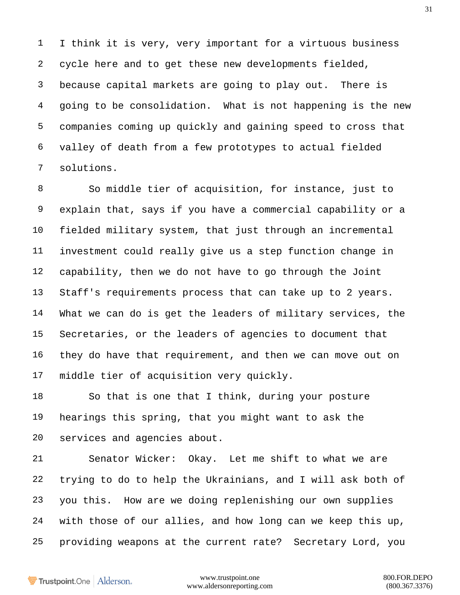I think it is very, very important for a virtuous business cycle here and to get these new developments fielded, because capital markets are going to play out. There is going to be consolidation. What is not happening is the new companies coming up quickly and gaining speed to cross that valley of death from a few prototypes to actual fielded solutions.

 So middle tier of acquisition, for instance, just to explain that, says if you have a commercial capability or a fielded military system, that just through an incremental investment could really give us a step function change in capability, then we do not have to go through the Joint Staff's requirements process that can take up to 2 years. What we can do is get the leaders of military services, the Secretaries, or the leaders of agencies to document that they do have that requirement, and then we can move out on middle tier of acquisition very quickly.

 So that is one that I think, during your posture hearings this spring, that you might want to ask the services and agencies about.

 Senator Wicker: Okay. Let me shift to what we are trying to do to help the Ukrainians, and I will ask both of you this. How are we doing replenishing our own supplies with those of our allies, and how long can we keep this up, providing weapons at the current rate? Secretary Lord, you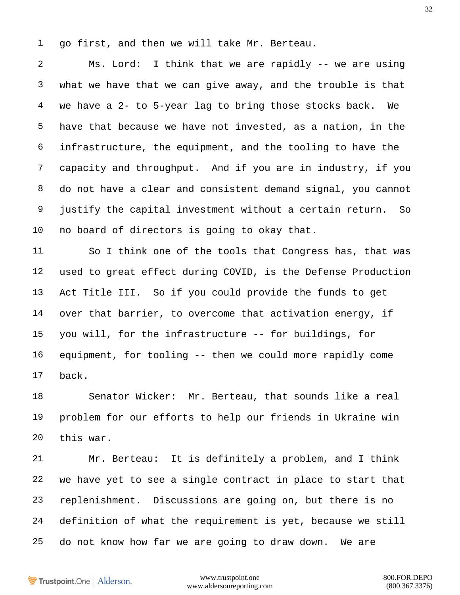go first, and then we will take Mr. Berteau.

 Ms. Lord: I think that we are rapidly -- we are using what we have that we can give away, and the trouble is that we have a 2- to 5-year lag to bring those stocks back. We have that because we have not invested, as a nation, in the infrastructure, the equipment, and the tooling to have the capacity and throughput. And if you are in industry, if you do not have a clear and consistent demand signal, you cannot justify the capital investment without a certain return. So no board of directors is going to okay that.

 So I think one of the tools that Congress has, that was used to great effect during COVID, is the Defense Production Act Title III. So if you could provide the funds to get over that barrier, to overcome that activation energy, if you will, for the infrastructure -- for buildings, for equipment, for tooling -- then we could more rapidly come back.

 Senator Wicker: Mr. Berteau, that sounds like a real problem for our efforts to help our friends in Ukraine win this war.

 Mr. Berteau: It is definitely a problem, and I think we have yet to see a single contract in place to start that replenishment. Discussions are going on, but there is no definition of what the requirement is yet, because we still do not know how far we are going to draw down. We are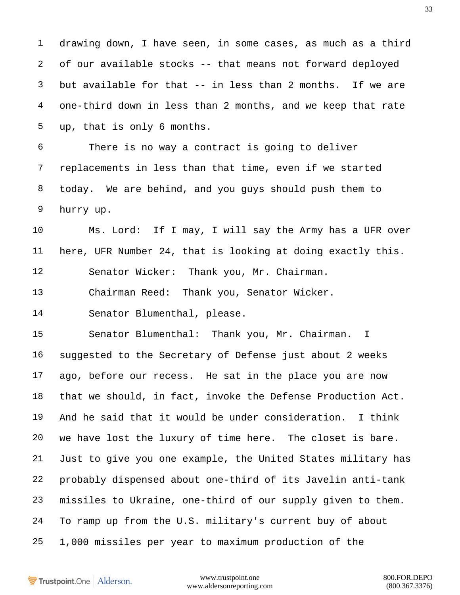drawing down, I have seen, in some cases, as much as a third of our available stocks -- that means not forward deployed but available for that -- in less than 2 months. If we are one-third down in less than 2 months, and we keep that rate up, that is only 6 months.

 There is no way a contract is going to deliver replacements in less than that time, even if we started today. We are behind, and you guys should push them to hurry up.

 Ms. Lord: If I may, I will say the Army has a UFR over here, UFR Number 24, that is looking at doing exactly this. Senator Wicker: Thank you, Mr. Chairman.

Chairman Reed: Thank you, Senator Wicker.

Senator Blumenthal, please.

 Senator Blumenthal: Thank you, Mr. Chairman. I suggested to the Secretary of Defense just about 2 weeks ago, before our recess. He sat in the place you are now that we should, in fact, invoke the Defense Production Act. And he said that it would be under consideration. I think we have lost the luxury of time here. The closet is bare. Just to give you one example, the United States military has probably dispensed about one-third of its Javelin anti-tank missiles to Ukraine, one-third of our supply given to them. To ramp up from the U.S. military's current buy of about 1,000 missiles per year to maximum production of the

Trustpoint.One Alderson.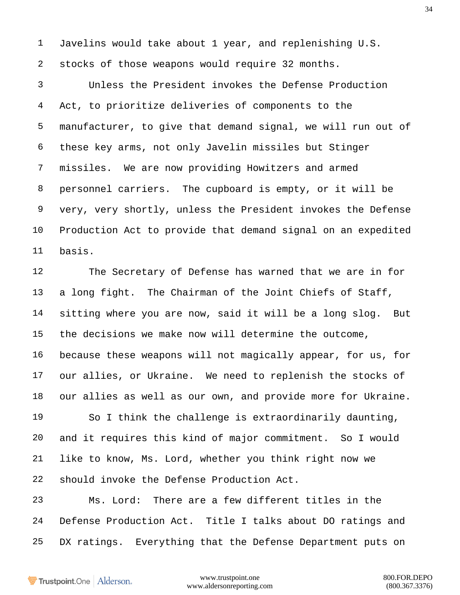Javelins would take about 1 year, and replenishing U.S. stocks of those weapons would require 32 months.

 Unless the President invokes the Defense Production Act, to prioritize deliveries of components to the manufacturer, to give that demand signal, we will run out of these key arms, not only Javelin missiles but Stinger missiles. We are now providing Howitzers and armed personnel carriers. The cupboard is empty, or it will be very, very shortly, unless the President invokes the Defense Production Act to provide that demand signal on an expedited basis.

 The Secretary of Defense has warned that we are in for a long fight. The Chairman of the Joint Chiefs of Staff, sitting where you are now, said it will be a long slog. But the decisions we make now will determine the outcome, because these weapons will not magically appear, for us, for our allies, or Ukraine. We need to replenish the stocks of our allies as well as our own, and provide more for Ukraine.

 So I think the challenge is extraordinarily daunting, and it requires this kind of major commitment. So I would like to know, Ms. Lord, whether you think right now we should invoke the Defense Production Act.

 Ms. Lord: There are a few different titles in the Defense Production Act. Title I talks about DO ratings and DX ratings. Everything that the Defense Department puts on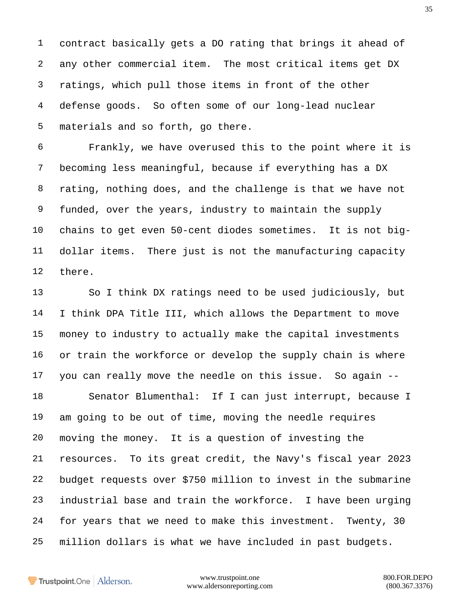contract basically gets a DO rating that brings it ahead of any other commercial item. The most critical items get DX ratings, which pull those items in front of the other defense goods. So often some of our long-lead nuclear materials and so forth, go there.

 Frankly, we have overused this to the point where it is becoming less meaningful, because if everything has a DX rating, nothing does, and the challenge is that we have not funded, over the years, industry to maintain the supply chains to get even 50-cent diodes sometimes. It is not big- dollar items. There just is not the manufacturing capacity there.

 So I think DX ratings need to be used judiciously, but I think DPA Title III, which allows the Department to move money to industry to actually make the capital investments 16 or train the workforce or develop the supply chain is where you can really move the needle on this issue. So again -- Senator Blumenthal: If I can just interrupt, because I am going to be out of time, moving the needle requires moving the money. It is a question of investing the

 resources. To its great credit, the Navy's fiscal year 2023 budget requests over \$750 million to invest in the submarine industrial base and train the workforce. I have been urging for years that we need to make this investment. Twenty, 30 million dollars is what we have included in past budgets.

Trustpoint.One Alderson.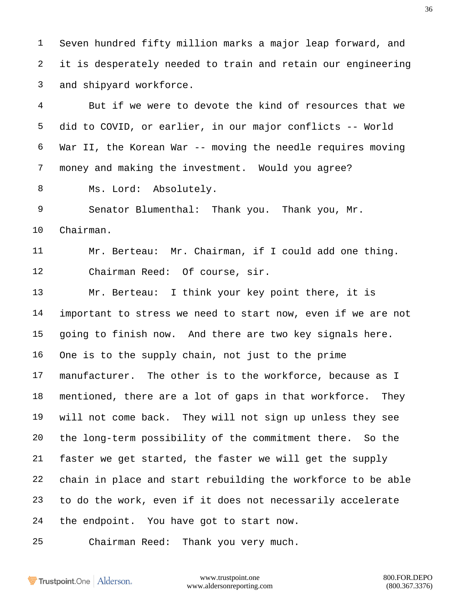Seven hundred fifty million marks a major leap forward, and it is desperately needed to train and retain our engineering and shipyard workforce.

 But if we were to devote the kind of resources that we did to COVID, or earlier, in our major conflicts -- World War II, the Korean War -- moving the needle requires moving money and making the investment. Would you agree?

8 Ms. Lord: Absolutely.

 Senator Blumenthal: Thank you. Thank you, Mr. Chairman.

 Mr. Berteau: Mr. Chairman, if I could add one thing. Chairman Reed: Of course, sir.

 Mr. Berteau: I think your key point there, it is important to stress we need to start now, even if we are not going to finish now. And there are two key signals here. One is to the supply chain, not just to the prime manufacturer. The other is to the workforce, because as I mentioned, there are a lot of gaps in that workforce. They will not come back. They will not sign up unless they see the long-term possibility of the commitment there. So the faster we get started, the faster we will get the supply chain in place and start rebuilding the workforce to be able to do the work, even if it does not necessarily accelerate the endpoint. You have got to start now.

Chairman Reed: Thank you very much.

Trustpoint.One Alderson.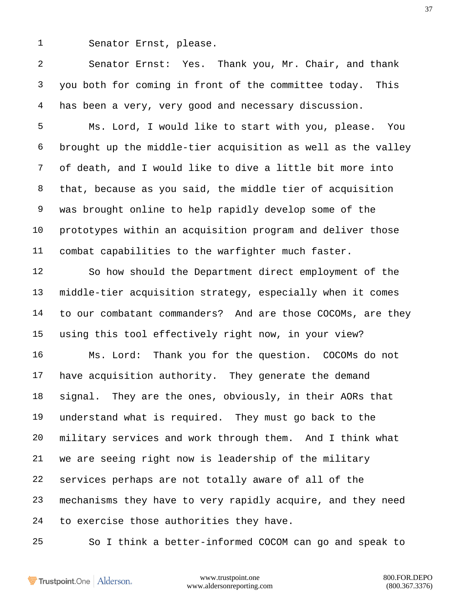Senator Ernst, please.

 Senator Ernst: Yes. Thank you, Mr. Chair, and thank you both for coming in front of the committee today. This has been a very, very good and necessary discussion.

 Ms. Lord, I would like to start with you, please. You brought up the middle-tier acquisition as well as the valley of death, and I would like to dive a little bit more into that, because as you said, the middle tier of acquisition was brought online to help rapidly develop some of the prototypes within an acquisition program and deliver those combat capabilities to the warfighter much faster.

 So how should the Department direct employment of the middle-tier acquisition strategy, especially when it comes to our combatant commanders? And are those COCOMs, are they using this tool effectively right now, in your view?

 Ms. Lord: Thank you for the question. COCOMs do not have acquisition authority. They generate the demand signal. They are the ones, obviously, in their AORs that understand what is required. They must go back to the military services and work through them. And I think what we are seeing right now is leadership of the military services perhaps are not totally aware of all of the mechanisms they have to very rapidly acquire, and they need to exercise those authorities they have.

So I think a better-informed COCOM can go and speak to

Trustpoint.One Alderson.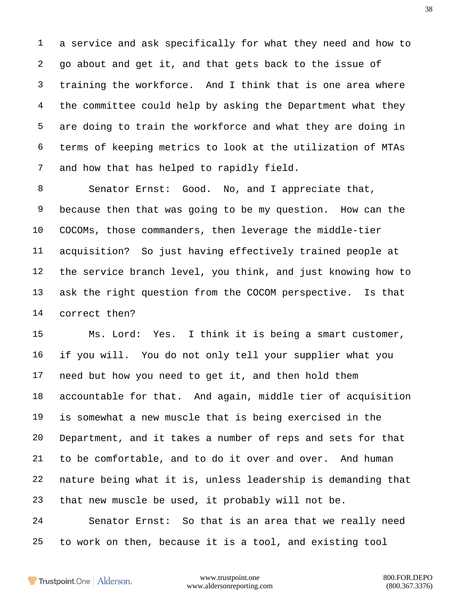a service and ask specifically for what they need and how to go about and get it, and that gets back to the issue of training the workforce. And I think that is one area where the committee could help by asking the Department what they are doing to train the workforce and what they are doing in terms of keeping metrics to look at the utilization of MTAs and how that has helped to rapidly field.

8 Senator Ernst: Good. No, and I appreciate that, because then that was going to be my question. How can the COCOMs, those commanders, then leverage the middle-tier acquisition? So just having effectively trained people at the service branch level, you think, and just knowing how to ask the right question from the COCOM perspective. Is that correct then?

 Ms. Lord: Yes. I think it is being a smart customer, if you will. You do not only tell your supplier what you need but how you need to get it, and then hold them accountable for that. And again, middle tier of acquisition is somewhat a new muscle that is being exercised in the Department, and it takes a number of reps and sets for that to be comfortable, and to do it over and over. And human nature being what it is, unless leadership is demanding that that new muscle be used, it probably will not be. Senator Ernst: So that is an area that we really need

to work on then, because it is a tool, and existing tool

Trustpoint.One Alderson.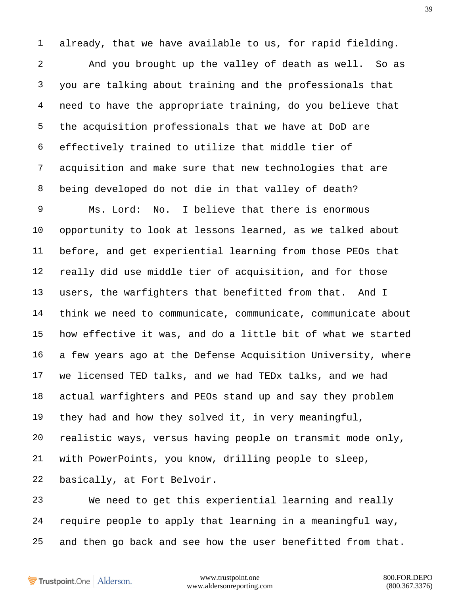already, that we have available to us, for rapid fielding.

 And you brought up the valley of death as well. So as you are talking about training and the professionals that need to have the appropriate training, do you believe that the acquisition professionals that we have at DoD are effectively trained to utilize that middle tier of acquisition and make sure that new technologies that are being developed do not die in that valley of death?

 Ms. Lord: No. I believe that there is enormous opportunity to look at lessons learned, as we talked about before, and get experiential learning from those PEOs that really did use middle tier of acquisition, and for those users, the warfighters that benefitted from that. And I think we need to communicate, communicate, communicate about how effective it was, and do a little bit of what we started a few years ago at the Defense Acquisition University, where we licensed TED talks, and we had TEDx talks, and we had actual warfighters and PEOs stand up and say they problem they had and how they solved it, in very meaningful, realistic ways, versus having people on transmit mode only, with PowerPoints, you know, drilling people to sleep, basically, at Fort Belvoir.

 We need to get this experiential learning and really require people to apply that learning in a meaningful way, and then go back and see how the user benefitted from that.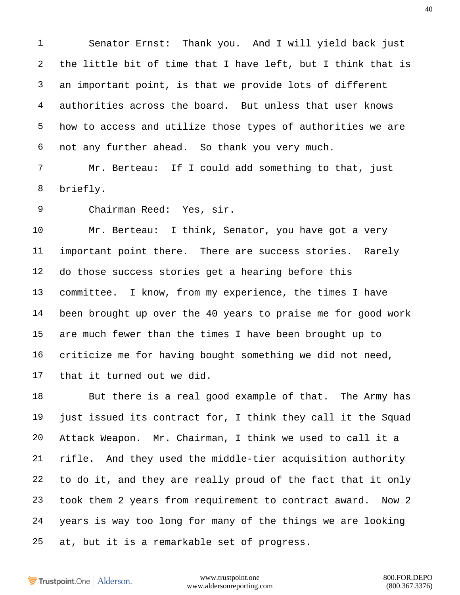Senator Ernst: Thank you. And I will yield back just the little bit of time that I have left, but I think that is an important point, is that we provide lots of different authorities across the board. But unless that user knows how to access and utilize those types of authorities we are not any further ahead. So thank you very much.

 Mr. Berteau: If I could add something to that, just briefly.

Chairman Reed: Yes, sir.

 Mr. Berteau: I think, Senator, you have got a very important point there. There are success stories. Rarely do those success stories get a hearing before this committee. I know, from my experience, the times I have been brought up over the 40 years to praise me for good work are much fewer than the times I have been brought up to criticize me for having bought something we did not need, that it turned out we did.

18 But there is a real good example of that. The Army has just issued its contract for, I think they call it the Squad Attack Weapon. Mr. Chairman, I think we used to call it a rifle. And they used the middle-tier acquisition authority to do it, and they are really proud of the fact that it only took them 2 years from requirement to contract award. Now 2 years is way too long for many of the things we are looking at, but it is a remarkable set of progress.

Trustpoint.One Alderson.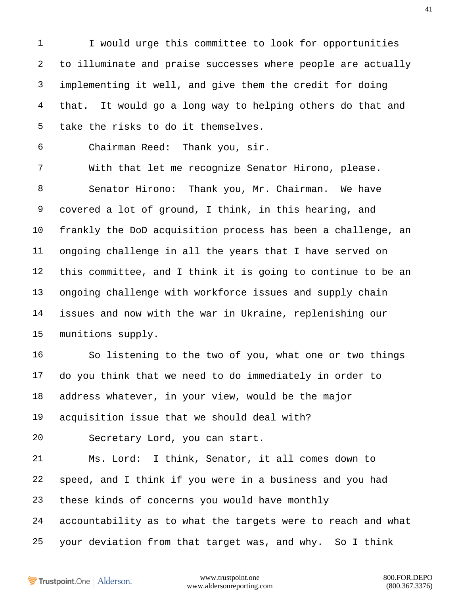1 I would urge this committee to look for opportunities to illuminate and praise successes where people are actually implementing it well, and give them the credit for doing that. It would go a long way to helping others do that and take the risks to do it themselves.

Chairman Reed: Thank you, sir.

 With that let me recognize Senator Hirono, please. Senator Hirono: Thank you, Mr. Chairman. We have covered a lot of ground, I think, in this hearing, and frankly the DoD acquisition process has been a challenge, an ongoing challenge in all the years that I have served on this committee, and I think it is going to continue to be an ongoing challenge with workforce issues and supply chain issues and now with the war in Ukraine, replenishing our munitions supply.

 So listening to the two of you, what one or two things do you think that we need to do immediately in order to address whatever, in your view, would be the major acquisition issue that we should deal with?

Secretary Lord, you can start.

 Ms. Lord: I think, Senator, it all comes down to speed, and I think if you were in a business and you had these kinds of concerns you would have monthly accountability as to what the targets were to reach and what your deviation from that target was, and why. So I think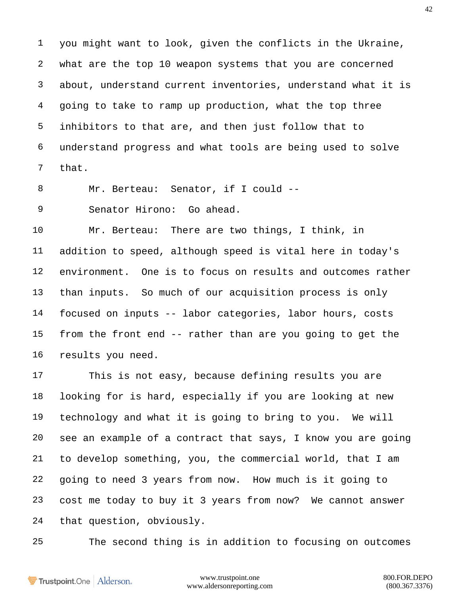you might want to look, given the conflicts in the Ukraine, what are the top 10 weapon systems that you are concerned about, understand current inventories, understand what it is going to take to ramp up production, what the top three inhibitors to that are, and then just follow that to understand progress and what tools are being used to solve that.

Mr. Berteau: Senator, if I could --

Senator Hirono: Go ahead.

 Mr. Berteau: There are two things, I think, in addition to speed, although speed is vital here in today's environment. One is to focus on results and outcomes rather than inputs. So much of our acquisition process is only focused on inputs -- labor categories, labor hours, costs from the front end -- rather than are you going to get the results you need.

 This is not easy, because defining results you are looking for is hard, especially if you are looking at new technology and what it is going to bring to you. We will see an example of a contract that says, I know you are going to develop something, you, the commercial world, that I am going to need 3 years from now. How much is it going to cost me today to buy it 3 years from now? We cannot answer that question, obviously.

The second thing is in addition to focusing on outcomes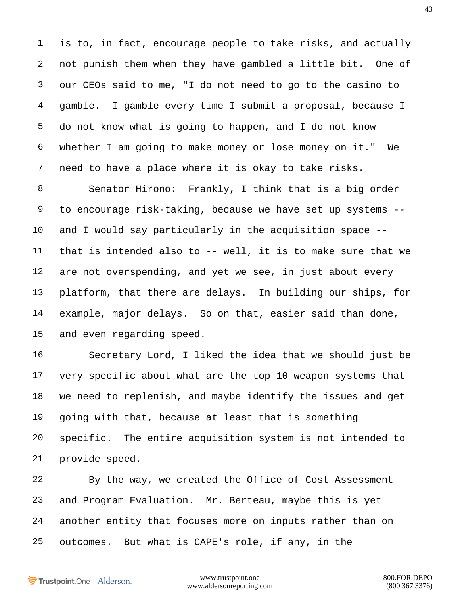is to, in fact, encourage people to take risks, and actually not punish them when they have gambled a little bit. One of our CEOs said to me, "I do not need to go to the casino to gamble. I gamble every time I submit a proposal, because I do not know what is going to happen, and I do not know whether I am going to make money or lose money on it." We need to have a place where it is okay to take risks.

 Senator Hirono: Frankly, I think that is a big order to encourage risk-taking, because we have set up systems -- and I would say particularly in the acquisition space -- that is intended also to -- well, it is to make sure that we are not overspending, and yet we see, in just about every platform, that there are delays. In building our ships, for example, major delays. So on that, easier said than done, and even regarding speed.

 Secretary Lord, I liked the idea that we should just be very specific about what are the top 10 weapon systems that we need to replenish, and maybe identify the issues and get going with that, because at least that is something specific. The entire acquisition system is not intended to provide speed.

 By the way, we created the Office of Cost Assessment and Program Evaluation. Mr. Berteau, maybe this is yet another entity that focuses more on inputs rather than on outcomes. But what is CAPE's role, if any, in the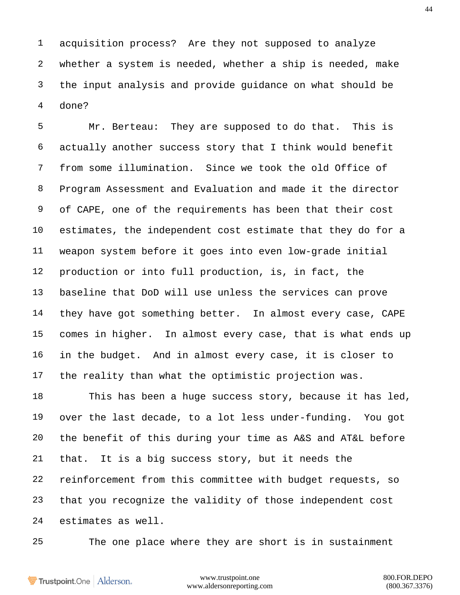acquisition process? Are they not supposed to analyze whether a system is needed, whether a ship is needed, make the input analysis and provide guidance on what should be done?

 Mr. Berteau: They are supposed to do that. This is actually another success story that I think would benefit from some illumination. Since we took the old Office of Program Assessment and Evaluation and made it the director of CAPE, one of the requirements has been that their cost estimates, the independent cost estimate that they do for a weapon system before it goes into even low-grade initial production or into full production, is, in fact, the baseline that DoD will use unless the services can prove they have got something better. In almost every case, CAPE comes in higher. In almost every case, that is what ends up in the budget. And in almost every case, it is closer to the reality than what the optimistic projection was.

 This has been a huge success story, because it has led, over the last decade, to a lot less under-funding. You got the benefit of this during your time as A&S and AT&L before that. It is a big success story, but it needs the reinforcement from this committee with budget requests, so that you recognize the validity of those independent cost estimates as well.

The one place where they are short is in sustainment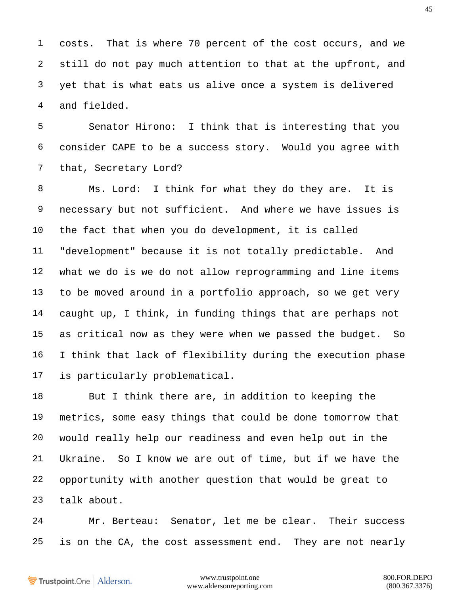costs. That is where 70 percent of the cost occurs, and we still do not pay much attention to that at the upfront, and yet that is what eats us alive once a system is delivered and fielded.

 Senator Hirono: I think that is interesting that you consider CAPE to be a success story. Would you agree with that, Secretary Lord?

 Ms. Lord: I think for what they do they are. It is necessary but not sufficient. And where we have issues is the fact that when you do development, it is called "development" because it is not totally predictable. And what we do is we do not allow reprogramming and line items to be moved around in a portfolio approach, so we get very caught up, I think, in funding things that are perhaps not as critical now as they were when we passed the budget. So I think that lack of flexibility during the execution phase is particularly problematical.

 But I think there are, in addition to keeping the metrics, some easy things that could be done tomorrow that would really help our readiness and even help out in the Ukraine. So I know we are out of time, but if we have the opportunity with another question that would be great to talk about.

 Mr. Berteau: Senator, let me be clear. Their success is on the CA, the cost assessment end. They are not nearly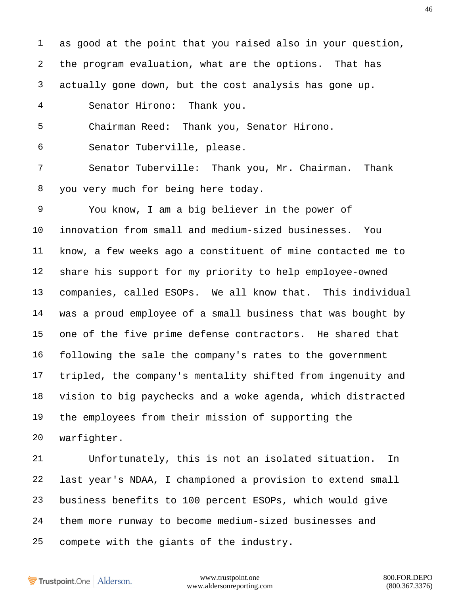as good at the point that you raised also in your question, the program evaluation, what are the options. That has actually gone down, but the cost analysis has gone up.

Senator Hirono: Thank you.

Chairman Reed: Thank you, Senator Hirono.

Senator Tuberville, please.

 Senator Tuberville: Thank you, Mr. Chairman. Thank you very much for being here today.

 You know, I am a big believer in the power of innovation from small and medium-sized businesses. You know, a few weeks ago a constituent of mine contacted me to share his support for my priority to help employee-owned companies, called ESOPs. We all know that. This individual was a proud employee of a small business that was bought by one of the five prime defense contractors. He shared that following the sale the company's rates to the government tripled, the company's mentality shifted from ingenuity and vision to big paychecks and a woke agenda, which distracted the employees from their mission of supporting the warfighter.

 Unfortunately, this is not an isolated situation. In last year's NDAA, I championed a provision to extend small business benefits to 100 percent ESOPs, which would give them more runway to become medium-sized businesses and compete with the giants of the industry.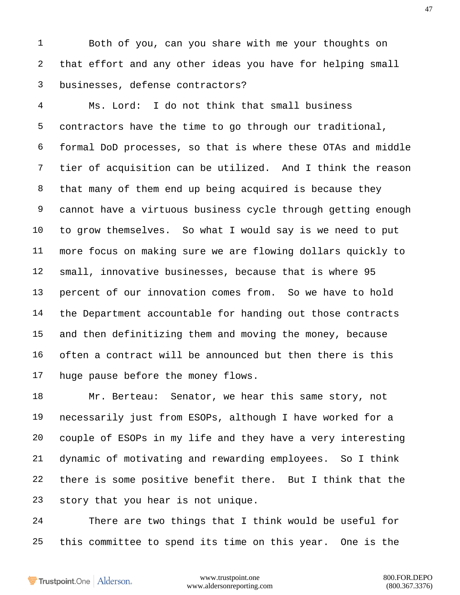Both of you, can you share with me your thoughts on that effort and any other ideas you have for helping small businesses, defense contractors?

 Ms. Lord: I do not think that small business contractors have the time to go through our traditional, formal DoD processes, so that is where these OTAs and middle tier of acquisition can be utilized. And I think the reason that many of them end up being acquired is because they cannot have a virtuous business cycle through getting enough to grow themselves. So what I would say is we need to put more focus on making sure we are flowing dollars quickly to small, innovative businesses, because that is where 95 percent of our innovation comes from. So we have to hold the Department accountable for handing out those contracts and then definitizing them and moving the money, because often a contract will be announced but then there is this huge pause before the money flows.

 Mr. Berteau: Senator, we hear this same story, not necessarily just from ESOPs, although I have worked for a couple of ESOPs in my life and they have a very interesting dynamic of motivating and rewarding employees. So I think there is some positive benefit there. But I think that the story that you hear is not unique.

 There are two things that I think would be useful for this committee to spend its time on this year. One is the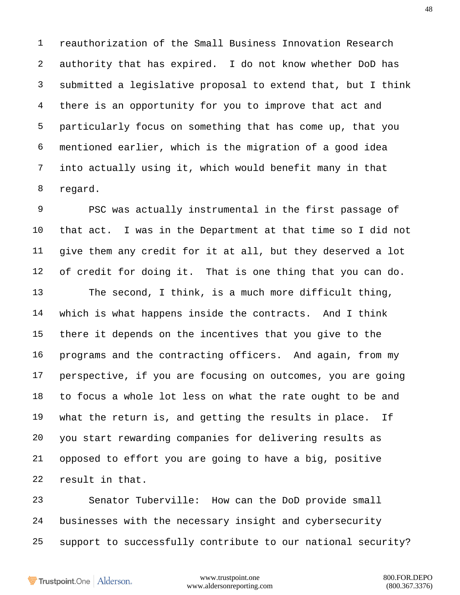reauthorization of the Small Business Innovation Research authority that has expired. I do not know whether DoD has submitted a legislative proposal to extend that, but I think there is an opportunity for you to improve that act and particularly focus on something that has come up, that you mentioned earlier, which is the migration of a good idea into actually using it, which would benefit many in that regard.

 PSC was actually instrumental in the first passage of that act. I was in the Department at that time so I did not give them any credit for it at all, but they deserved a lot of credit for doing it. That is one thing that you can do. The second, I think, is a much more difficult thing, which is what happens inside the contracts. And I think there it depends on the incentives that you give to the programs and the contracting officers. And again, from my perspective, if you are focusing on outcomes, you are going to focus a whole lot less on what the rate ought to be and what the return is, and getting the results in place. If you start rewarding companies for delivering results as opposed to effort you are going to have a big, positive result in that.

 Senator Tuberville: How can the DoD provide small businesses with the necessary insight and cybersecurity support to successfully contribute to our national security?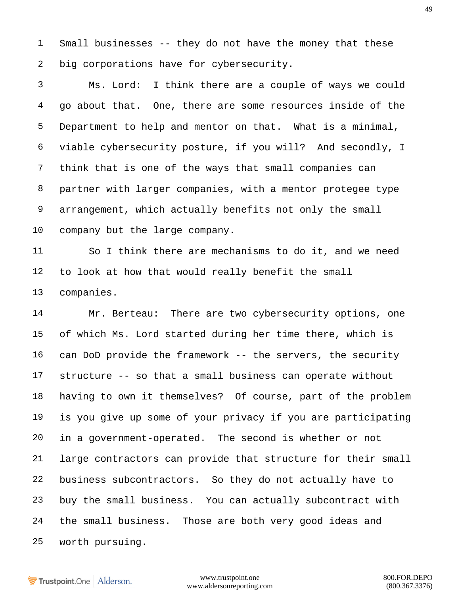Small businesses -- they do not have the money that these big corporations have for cybersecurity.

 Ms. Lord: I think there are a couple of ways we could go about that. One, there are some resources inside of the Department to help and mentor on that. What is a minimal, viable cybersecurity posture, if you will? And secondly, I think that is one of the ways that small companies can partner with larger companies, with a mentor protegee type arrangement, which actually benefits not only the small company but the large company.

 So I think there are mechanisms to do it, and we need to look at how that would really benefit the small companies.

 Mr. Berteau: There are two cybersecurity options, one of which Ms. Lord started during her time there, which is can DoD provide the framework -- the servers, the security structure -- so that a small business can operate without having to own it themselves? Of course, part of the problem is you give up some of your privacy if you are participating in a government-operated. The second is whether or not large contractors can provide that structure for their small business subcontractors. So they do not actually have to buy the small business. You can actually subcontract with the small business. Those are both very good ideas and worth pursuing.

Trustpoint.One Alderson.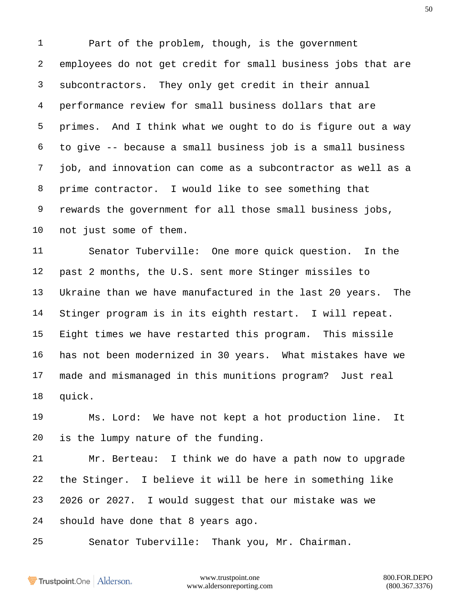Part of the problem, though, is the government employees do not get credit for small business jobs that are subcontractors. They only get credit in their annual performance review for small business dollars that are primes. And I think what we ought to do is figure out a way to give -- because a small business job is a small business job, and innovation can come as a subcontractor as well as a prime contractor. I would like to see something that rewards the government for all those small business jobs, not just some of them.

 Senator Tuberville: One more quick question. In the past 2 months, the U.S. sent more Stinger missiles to Ukraine than we have manufactured in the last 20 years. The Stinger program is in its eighth restart. I will repeat. Eight times we have restarted this program. This missile has not been modernized in 30 years. What mistakes have we made and mismanaged in this munitions program? Just real quick.

 Ms. Lord: We have not kept a hot production line. It is the lumpy nature of the funding.

 Mr. Berteau: I think we do have a path now to upgrade the Stinger. I believe it will be here in something like 2026 or 2027. I would suggest that our mistake was we should have done that 8 years ago.

Senator Tuberville: Thank you, Mr. Chairman.

Trustpoint.One Alderson.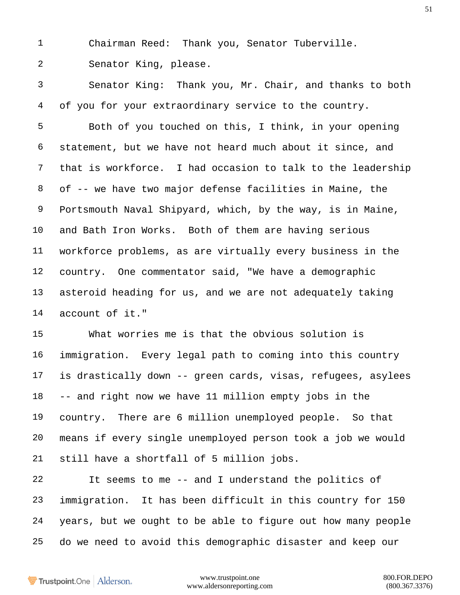Chairman Reed: Thank you, Senator Tuberville.

Senator King, please.

 Senator King: Thank you, Mr. Chair, and thanks to both of you for your extraordinary service to the country.

 Both of you touched on this, I think, in your opening statement, but we have not heard much about it since, and that is workforce. I had occasion to talk to the leadership of -- we have two major defense facilities in Maine, the Portsmouth Naval Shipyard, which, by the way, is in Maine, and Bath Iron Works. Both of them are having serious workforce problems, as are virtually every business in the country. One commentator said, "We have a demographic asteroid heading for us, and we are not adequately taking account of it."

 What worries me is that the obvious solution is immigration. Every legal path to coming into this country is drastically down -- green cards, visas, refugees, asylees -- and right now we have 11 million empty jobs in the country. There are 6 million unemployed people. So that means if every single unemployed person took a job we would still have a shortfall of 5 million jobs.

 It seems to me -- and I understand the politics of immigration. It has been difficult in this country for 150 years, but we ought to be able to figure out how many people do we need to avoid this demographic disaster and keep our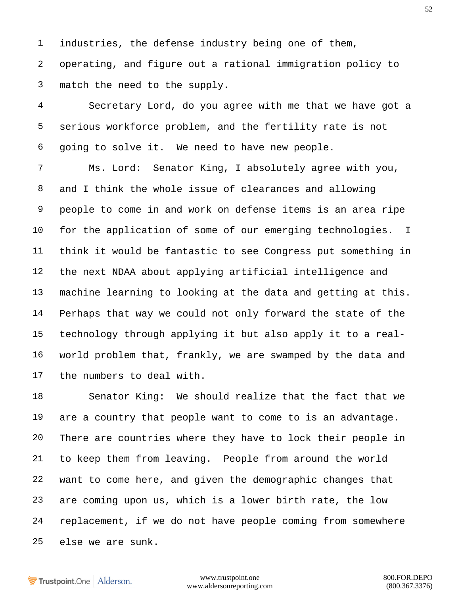industries, the defense industry being one of them, operating, and figure out a rational immigration policy to match the need to the supply.

 Secretary Lord, do you agree with me that we have got a serious workforce problem, and the fertility rate is not going to solve it. We need to have new people.

 Ms. Lord: Senator King, I absolutely agree with you, and I think the whole issue of clearances and allowing people to come in and work on defense items is an area ripe for the application of some of our emerging technologies. I think it would be fantastic to see Congress put something in the next NDAA about applying artificial intelligence and machine learning to looking at the data and getting at this. Perhaps that way we could not only forward the state of the technology through applying it but also apply it to a real- world problem that, frankly, we are swamped by the data and the numbers to deal with.

 Senator King: We should realize that the fact that we are a country that people want to come to is an advantage. There are countries where they have to lock their people in to keep them from leaving. People from around the world want to come here, and given the demographic changes that are coming upon us, which is a lower birth rate, the low replacement, if we do not have people coming from somewhere else we are sunk.

Trustpoint.One Alderson.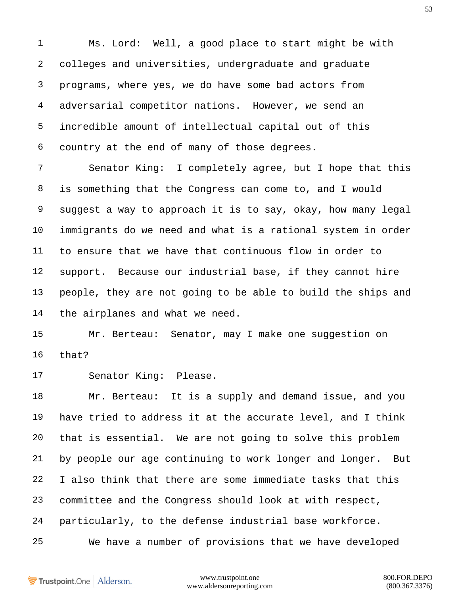Ms. Lord: Well, a good place to start might be with colleges and universities, undergraduate and graduate programs, where yes, we do have some bad actors from adversarial competitor nations. However, we send an incredible amount of intellectual capital out of this country at the end of many of those degrees.

 Senator King: I completely agree, but I hope that this is something that the Congress can come to, and I would suggest a way to approach it is to say, okay, how many legal immigrants do we need and what is a rational system in order to ensure that we have that continuous flow in order to support. Because our industrial base, if they cannot hire people, they are not going to be able to build the ships and the airplanes and what we need.

 Mr. Berteau: Senator, may I make one suggestion on that?

Senator King: Please.

 Mr. Berteau: It is a supply and demand issue, and you have tried to address it at the accurate level, and I think that is essential. We are not going to solve this problem by people our age continuing to work longer and longer. But I also think that there are some immediate tasks that this committee and the Congress should look at with respect, particularly, to the defense industrial base workforce. We have a number of provisions that we have developed

Trustpoint.One Alderson.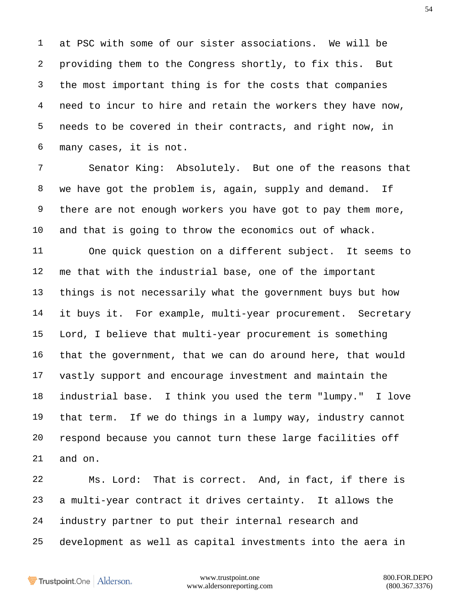at PSC with some of our sister associations. We will be providing them to the Congress shortly, to fix this. But the most important thing is for the costs that companies need to incur to hire and retain the workers they have now, needs to be covered in their contracts, and right now, in many cases, it is not.

 Senator King: Absolutely. But one of the reasons that we have got the problem is, again, supply and demand. If there are not enough workers you have got to pay them more, and that is going to throw the economics out of whack.

 One quick question on a different subject. It seems to me that with the industrial base, one of the important things is not necessarily what the government buys but how it buys it. For example, multi-year procurement. Secretary Lord, I believe that multi-year procurement is something that the government, that we can do around here, that would vastly support and encourage investment and maintain the industrial base. I think you used the term "lumpy." I love that term. If we do things in a lumpy way, industry cannot respond because you cannot turn these large facilities off and on.

 Ms. Lord: That is correct. And, in fact, if there is a multi-year contract it drives certainty. It allows the industry partner to put their internal research and development as well as capital investments into the aera in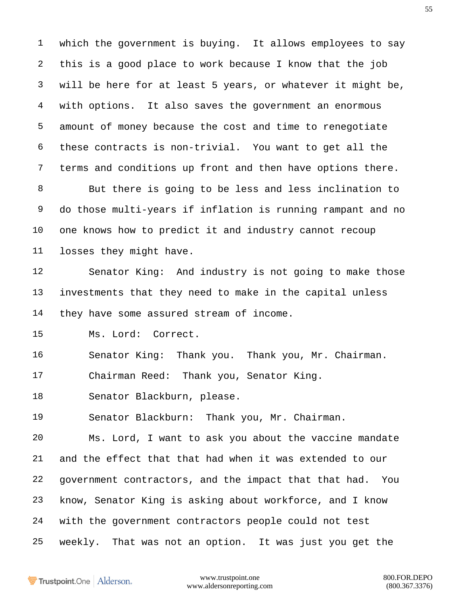which the government is buying. It allows employees to say this is a good place to work because I know that the job will be here for at least 5 years, or whatever it might be, with options. It also saves the government an enormous amount of money because the cost and time to renegotiate these contracts is non-trivial. You want to get all the terms and conditions up front and then have options there.

 But there is going to be less and less inclination to do those multi-years if inflation is running rampant and no one knows how to predict it and industry cannot recoup losses they might have.

 Senator King: And industry is not going to make those investments that they need to make in the capital unless 14 they have some assured stream of income.

Ms. Lord: Correct.

Senator King: Thank you. Thank you, Mr. Chairman.

Chairman Reed: Thank you, Senator King.

Senator Blackburn, please.

Senator Blackburn: Thank you, Mr. Chairman.

 Ms. Lord, I want to ask you about the vaccine mandate and the effect that that had when it was extended to our government contractors, and the impact that that had. You know, Senator King is asking about workforce, and I know with the government contractors people could not test weekly. That was not an option. It was just you get the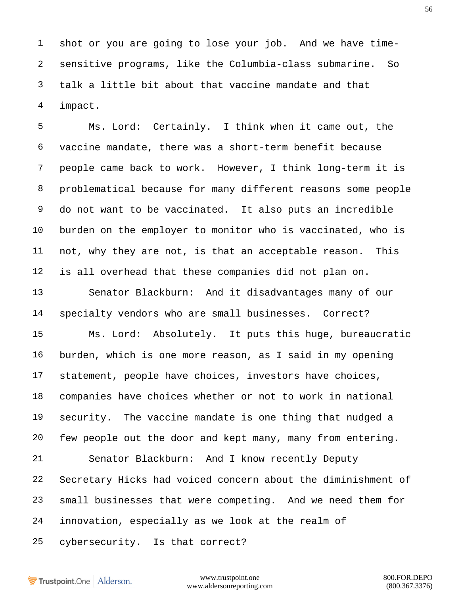shot or you are going to lose your job. And we have time- sensitive programs, like the Columbia-class submarine. So talk a little bit about that vaccine mandate and that impact.

 Ms. Lord: Certainly. I think when it came out, the vaccine mandate, there was a short-term benefit because people came back to work. However, I think long-term it is problematical because for many different reasons some people do not want to be vaccinated. It also puts an incredible burden on the employer to monitor who is vaccinated, who is not, why they are not, is that an acceptable reason. This is all overhead that these companies did not plan on.

 Senator Blackburn: And it disadvantages many of our specialty vendors who are small businesses. Correct?

 Ms. Lord: Absolutely. It puts this huge, bureaucratic burden, which is one more reason, as I said in my opening statement, people have choices, investors have choices, companies have choices whether or not to work in national security. The vaccine mandate is one thing that nudged a few people out the door and kept many, many from entering.

 Senator Blackburn: And I know recently Deputy Secretary Hicks had voiced concern about the diminishment of small businesses that were competing. And we need them for innovation, especially as we look at the realm of

cybersecurity. Is that correct?

Trustpoint.One Alderson.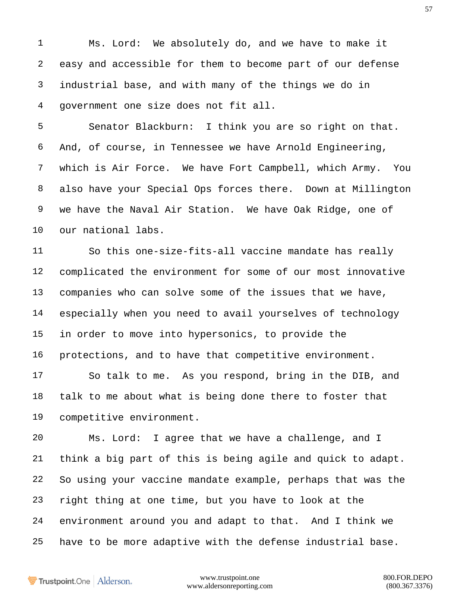Ms. Lord: We absolutely do, and we have to make it easy and accessible for them to become part of our defense industrial base, and with many of the things we do in government one size does not fit all.

 Senator Blackburn: I think you are so right on that. And, of course, in Tennessee we have Arnold Engineering, which is Air Force. We have Fort Campbell, which Army. You also have your Special Ops forces there. Down at Millington we have the Naval Air Station. We have Oak Ridge, one of our national labs.

 So this one-size-fits-all vaccine mandate has really complicated the environment for some of our most innovative companies who can solve some of the issues that we have, especially when you need to avail yourselves of technology in order to move into hypersonics, to provide the protections, and to have that competitive environment.

 So talk to me. As you respond, bring in the DIB, and talk to me about what is being done there to foster that competitive environment.

 Ms. Lord: I agree that we have a challenge, and I think a big part of this is being agile and quick to adapt. So using your vaccine mandate example, perhaps that was the right thing at one time, but you have to look at the environment around you and adapt to that. And I think we have to be more adaptive with the defense industrial base.

Trustpoint.One Alderson.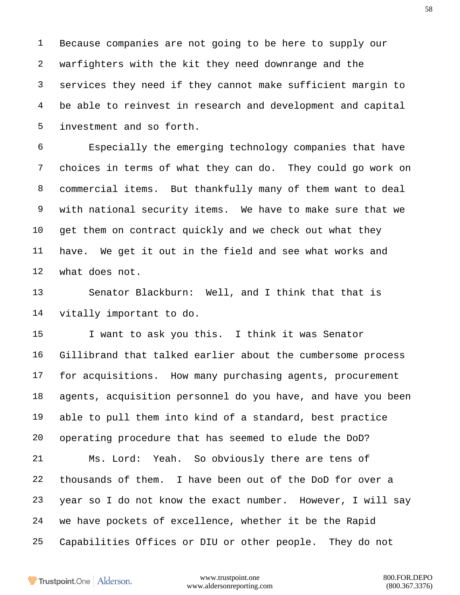Because companies are not going to be here to supply our warfighters with the kit they need downrange and the services they need if they cannot make sufficient margin to be able to reinvest in research and development and capital investment and so forth.

 Especially the emerging technology companies that have choices in terms of what they can do. They could go work on commercial items. But thankfully many of them want to deal with national security items. We have to make sure that we get them on contract quickly and we check out what they have. We get it out in the field and see what works and what does not.

 Senator Blackburn: Well, and I think that that is vitally important to do.

15 I want to ask you this. I think it was Senator Gillibrand that talked earlier about the cumbersome process for acquisitions. How many purchasing agents, procurement agents, acquisition personnel do you have, and have you been able to pull them into kind of a standard, best practice operating procedure that has seemed to elude the DoD? Ms. Lord: Yeah. So obviously there are tens of thousands of them. I have been out of the DoD for over a year so I do not know the exact number. However, I will say we have pockets of excellence, whether it be the Rapid Capabilities Offices or DIU or other people. They do not

Trustpoint.One Alderson.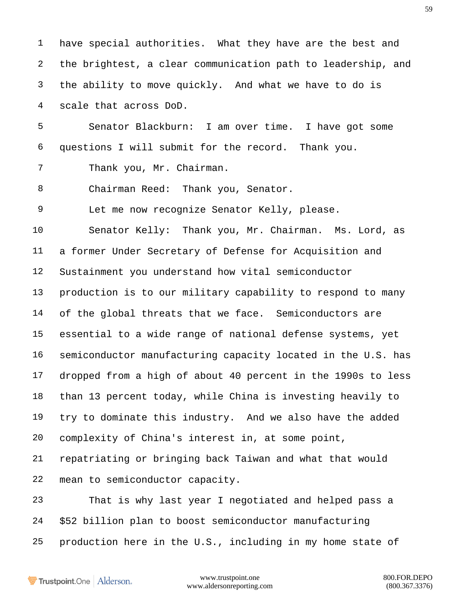have special authorities. What they have are the best and the brightest, a clear communication path to leadership, and the ability to move quickly. And what we have to do is scale that across DoD. Senator Blackburn: I am over time. I have got some questions I will submit for the record. Thank you. Thank you, Mr. Chairman. Chairman Reed: Thank you, Senator. Let me now recognize Senator Kelly, please. Senator Kelly: Thank you, Mr. Chairman. Ms. Lord, as a former Under Secretary of Defense for Acquisition and Sustainment you understand how vital semiconductor production is to our military capability to respond to many of the global threats that we face. Semiconductors are essential to a wide range of national defense systems, yet semiconductor manufacturing capacity located in the U.S. has dropped from a high of about 40 percent in the 1990s to less than 13 percent today, while China is investing heavily to try to dominate this industry. And we also have the added complexity of China's interest in, at some point, repatriating or bringing back Taiwan and what that would mean to semiconductor capacity. That is why last year I negotiated and helped pass a \$52 billion plan to boost semiconductor manufacturing production here in the U.S., including in my home state of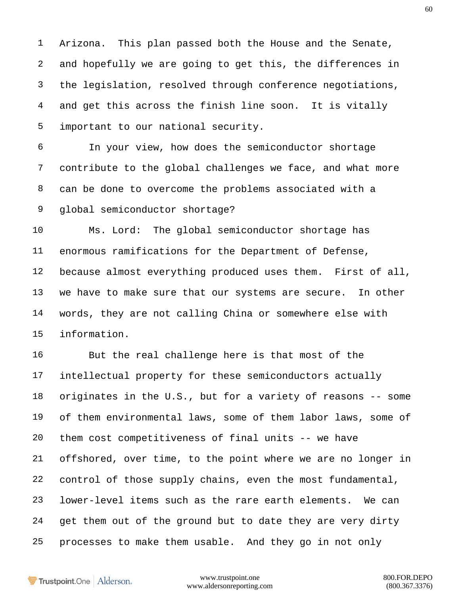Arizona. This plan passed both the House and the Senate, and hopefully we are going to get this, the differences in the legislation, resolved through conference negotiations, and get this across the finish line soon. It is vitally important to our national security.

 In your view, how does the semiconductor shortage contribute to the global challenges we face, and what more can be done to overcome the problems associated with a global semiconductor shortage?

 Ms. Lord: The global semiconductor shortage has enormous ramifications for the Department of Defense, because almost everything produced uses them. First of all, we have to make sure that our systems are secure. In other words, they are not calling China or somewhere else with information.

 But the real challenge here is that most of the intellectual property for these semiconductors actually originates in the U.S., but for a variety of reasons -- some of them environmental laws, some of them labor laws, some of them cost competitiveness of final units -- we have offshored, over time, to the point where we are no longer in control of those supply chains, even the most fundamental, lower-level items such as the rare earth elements. We can get them out of the ground but to date they are very dirty processes to make them usable. And they go in not only

Trustpoint.One Alderson.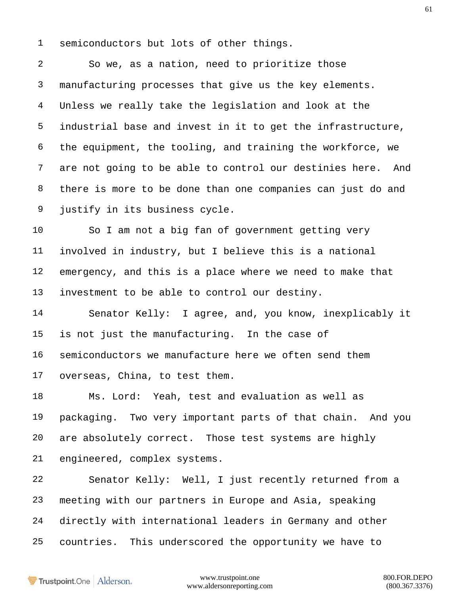semiconductors but lots of other things.

 So we, as a nation, need to prioritize those manufacturing processes that give us the key elements. Unless we really take the legislation and look at the industrial base and invest in it to get the infrastructure, the equipment, the tooling, and training the workforce, we are not going to be able to control our destinies here. And there is more to be done than one companies can just do and justify in its business cycle.

 So I am not a big fan of government getting very involved in industry, but I believe this is a national emergency, and this is a place where we need to make that investment to be able to control our destiny.

 Senator Kelly: I agree, and, you know, inexplicably it is not just the manufacturing. In the case of semiconductors we manufacture here we often send them overseas, China, to test them.

 Ms. Lord: Yeah, test and evaluation as well as packaging. Two very important parts of that chain. And you are absolutely correct. Those test systems are highly engineered, complex systems.

 Senator Kelly: Well, I just recently returned from a meeting with our partners in Europe and Asia, speaking directly with international leaders in Germany and other countries. This underscored the opportunity we have to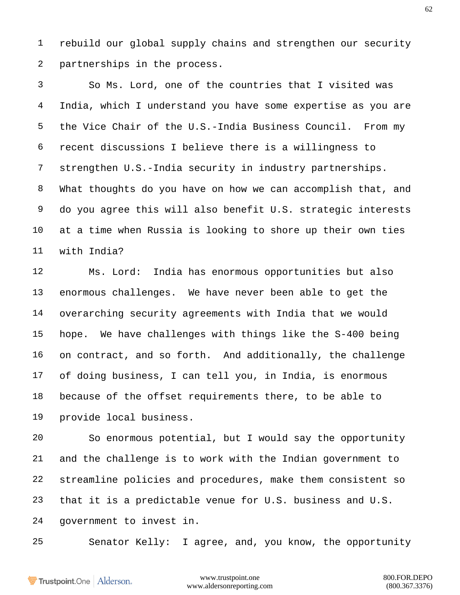rebuild our global supply chains and strengthen our security partnerships in the process.

 So Ms. Lord, one of the countries that I visited was India, which I understand you have some expertise as you are the Vice Chair of the U.S.-India Business Council. From my recent discussions I believe there is a willingness to strengthen U.S.-India security in industry partnerships. What thoughts do you have on how we can accomplish that, and do you agree this will also benefit U.S. strategic interests at a time when Russia is looking to shore up their own ties with India?

 Ms. Lord: India has enormous opportunities but also enormous challenges. We have never been able to get the overarching security agreements with India that we would hope. We have challenges with things like the S-400 being on contract, and so forth. And additionally, the challenge of doing business, I can tell you, in India, is enormous because of the offset requirements there, to be able to provide local business.

 So enormous potential, but I would say the opportunity and the challenge is to work with the Indian government to streamline policies and procedures, make them consistent so that it is a predictable venue for U.S. business and U.S. government to invest in.

Senator Kelly: I agree, and, you know, the opportunity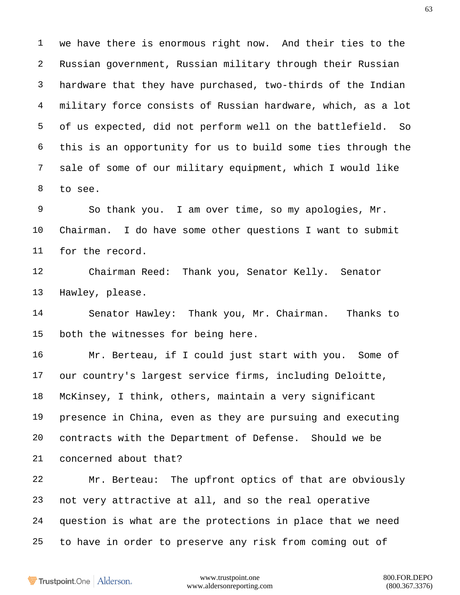we have there is enormous right now. And their ties to the Russian government, Russian military through their Russian hardware that they have purchased, two-thirds of the Indian military force consists of Russian hardware, which, as a lot of us expected, did not perform well on the battlefield. So this is an opportunity for us to build some ties through the sale of some of our military equipment, which I would like to see.

 So thank you. I am over time, so my apologies, Mr. Chairman. I do have some other questions I want to submit for the record.

 Chairman Reed: Thank you, Senator Kelly. Senator Hawley, please.

 Senator Hawley: Thank you, Mr. Chairman. Thanks to both the witnesses for being here.

 Mr. Berteau, if I could just start with you. Some of our country's largest service firms, including Deloitte, McKinsey, I think, others, maintain a very significant presence in China, even as they are pursuing and executing contracts with the Department of Defense. Should we be concerned about that?

 Mr. Berteau: The upfront optics of that are obviously not very attractive at all, and so the real operative question is what are the protections in place that we need to have in order to preserve any risk from coming out of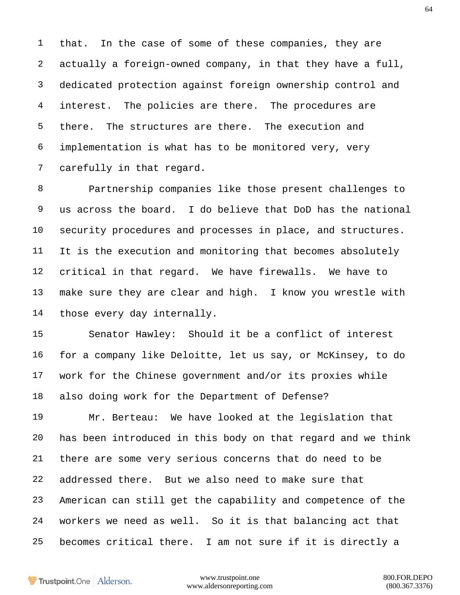that. In the case of some of these companies, they are actually a foreign-owned company, in that they have a full, dedicated protection against foreign ownership control and 4 interest. The policies are there. The procedures are there. The structures are there. The execution and implementation is what has to be monitored very, very carefully in that regard.

 Partnership companies like those present challenges to us across the board. I do believe that DoD has the national security procedures and processes in place, and structures. It is the execution and monitoring that becomes absolutely critical in that regard. We have firewalls. We have to make sure they are clear and high. I know you wrestle with those every day internally.

 Senator Hawley: Should it be a conflict of interest for a company like Deloitte, let us say, or McKinsey, to do work for the Chinese government and/or its proxies while also doing work for the Department of Defense?

 Mr. Berteau: We have looked at the legislation that has been introduced in this body on that regard and we think there are some very serious concerns that do need to be addressed there. But we also need to make sure that American can still get the capability and competence of the workers we need as well. So it is that balancing act that becomes critical there. I am not sure if it is directly a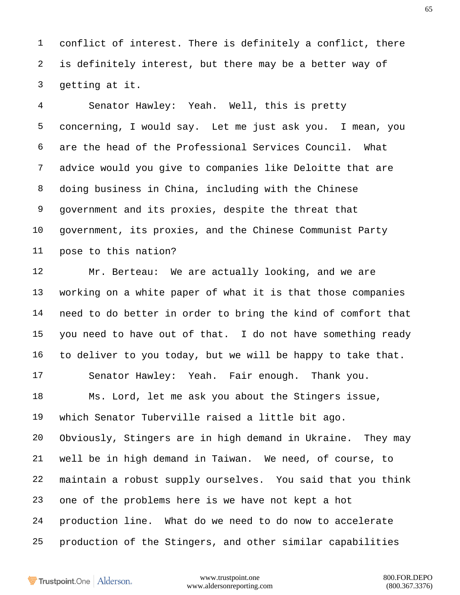conflict of interest. There is definitely a conflict, there is definitely interest, but there may be a better way of getting at it.

 Senator Hawley: Yeah. Well, this is pretty concerning, I would say. Let me just ask you. I mean, you are the head of the Professional Services Council. What advice would you give to companies like Deloitte that are doing business in China, including with the Chinese government and its proxies, despite the threat that government, its proxies, and the Chinese Communist Party pose to this nation?

 Mr. Berteau: We are actually looking, and we are working on a white paper of what it is that those companies need to do better in order to bring the kind of comfort that you need to have out of that. I do not have something ready to deliver to you today, but we will be happy to take that. Senator Hawley: Yeah. Fair enough. Thank you. Ms. Lord, let me ask you about the Stingers issue, which Senator Tuberville raised a little bit ago. Obviously, Stingers are in high demand in Ukraine. They may well be in high demand in Taiwan. We need, of course, to maintain a robust supply ourselves. You said that you think one of the problems here is we have not kept a hot production line. What do we need to do now to accelerate production of the Stingers, and other similar capabilities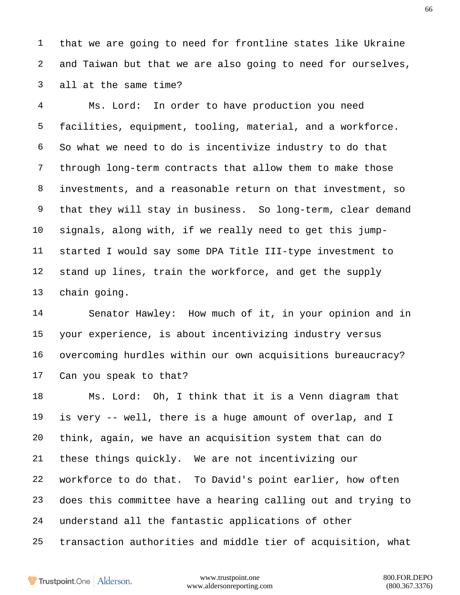that we are going to need for frontline states like Ukraine and Taiwan but that we are also going to need for ourselves, all at the same time?

 Ms. Lord: In order to have production you need facilities, equipment, tooling, material, and a workforce. So what we need to do is incentivize industry to do that through long-term contracts that allow them to make those investments, and a reasonable return on that investment, so that they will stay in business. So long-term, clear demand signals, along with, if we really need to get this jump- started I would say some DPA Title III-type investment to stand up lines, train the workforce, and get the supply chain going.

 Senator Hawley: How much of it, in your opinion and in your experience, is about incentivizing industry versus overcoming hurdles within our own acquisitions bureaucracy? Can you speak to that?

 Ms. Lord: Oh, I think that it is a Venn diagram that is very -- well, there is a huge amount of overlap, and I think, again, we have an acquisition system that can do these things quickly. We are not incentivizing our workforce to do that. To David's point earlier, how often does this committee have a hearing calling out and trying to understand all the fantastic applications of other transaction authorities and middle tier of acquisition, what

Trustpoint.One Alderson.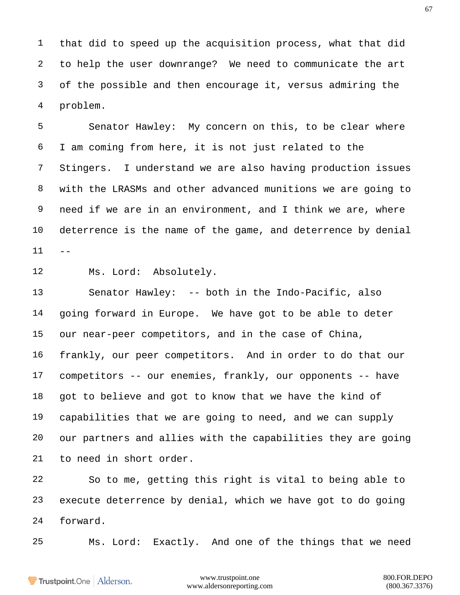that did to speed up the acquisition process, what that did to help the user downrange? We need to communicate the art of the possible and then encourage it, versus admiring the problem.

 Senator Hawley: My concern on this, to be clear where I am coming from here, it is not just related to the Stingers. I understand we are also having production issues with the LRASMs and other advanced munitions we are going to need if we are in an environment, and I think we are, where deterrence is the name of the game, and deterrence by denial  $11 - -$ 

Ms. Lord: Absolutely.

 Senator Hawley: -- both in the Indo-Pacific, also going forward in Europe. We have got to be able to deter our near-peer competitors, and in the case of China, frankly, our peer competitors. And in order to do that our competitors -- our enemies, frankly, our opponents -- have got to believe and got to know that we have the kind of capabilities that we are going to need, and we can supply our partners and allies with the capabilities they are going to need in short order.

 So to me, getting this right is vital to being able to execute deterrence by denial, which we have got to do going forward.

Ms. Lord: Exactly. And one of the things that we need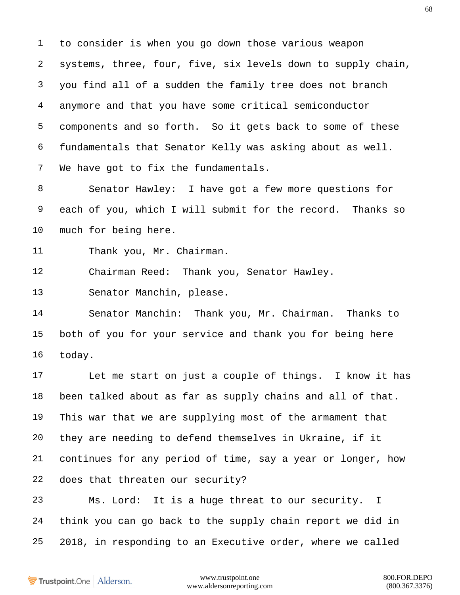to consider is when you go down those various weapon systems, three, four, five, six levels down to supply chain, you find all of a sudden the family tree does not branch anymore and that you have some critical semiconductor components and so forth. So it gets back to some of these fundamentals that Senator Kelly was asking about as well. We have got to fix the fundamentals.

 Senator Hawley: I have got a few more questions for each of you, which I will submit for the record. Thanks so much for being here.

Thank you, Mr. Chairman.

Chairman Reed: Thank you, Senator Hawley.

Senator Manchin, please.

 Senator Manchin: Thank you, Mr. Chairman. Thanks to both of you for your service and thank you for being here today.

 Let me start on just a couple of things. I know it has been talked about as far as supply chains and all of that. This war that we are supplying most of the armament that they are needing to defend themselves in Ukraine, if it continues for any period of time, say a year or longer, how does that threaten our security?

 Ms. Lord: It is a huge threat to our security. I think you can go back to the supply chain report we did in 2018, in responding to an Executive order, where we called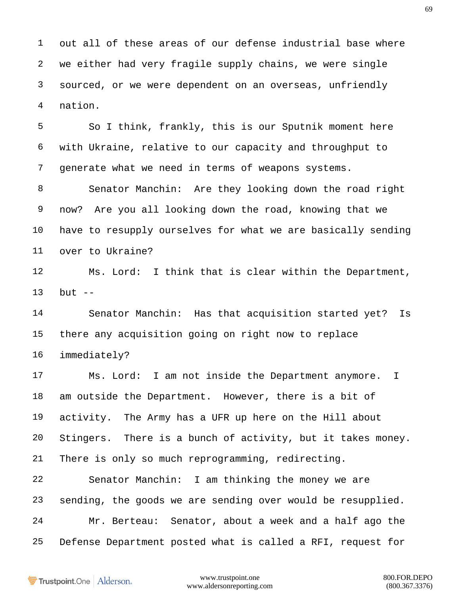out all of these areas of our defense industrial base where we either had very fragile supply chains, we were single sourced, or we were dependent on an overseas, unfriendly nation.

 So I think, frankly, this is our Sputnik moment here with Ukraine, relative to our capacity and throughput to generate what we need in terms of weapons systems.

 Senator Manchin: Are they looking down the road right now? Are you all looking down the road, knowing that we have to resupply ourselves for what we are basically sending over to Ukraine?

 Ms. Lord: I think that is clear within the Department, but --

 Senator Manchin: Has that acquisition started yet? Is there any acquisition going on right now to replace immediately?

 Ms. Lord: I am not inside the Department anymore. I am outside the Department. However, there is a bit of activity. The Army has a UFR up here on the Hill about Stingers. There is a bunch of activity, but it takes money. There is only so much reprogramming, redirecting.

 Senator Manchin: I am thinking the money we are sending, the goods we are sending over would be resupplied. Mr. Berteau: Senator, about a week and a half ago the Defense Department posted what is called a RFI, request for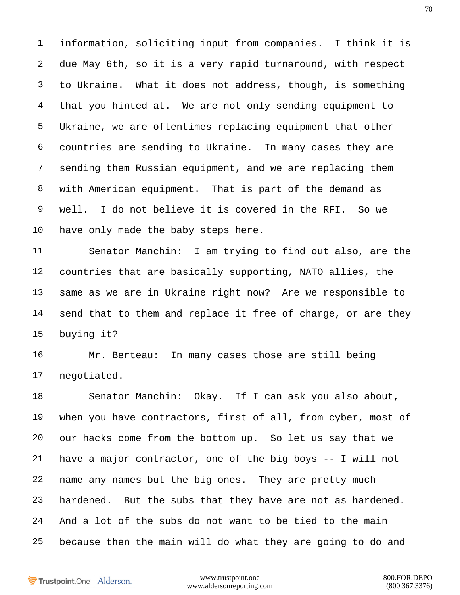information, soliciting input from companies. I think it is due May 6th, so it is a very rapid turnaround, with respect to Ukraine. What it does not address, though, is something that you hinted at. We are not only sending equipment to Ukraine, we are oftentimes replacing equipment that other countries are sending to Ukraine. In many cases they are sending them Russian equipment, and we are replacing them with American equipment. That is part of the demand as well. I do not believe it is covered in the RFI. So we have only made the baby steps here.

 Senator Manchin: I am trying to find out also, are the countries that are basically supporting, NATO allies, the same as we are in Ukraine right now? Are we responsible to send that to them and replace it free of charge, or are they buying it?

 Mr. Berteau: In many cases those are still being negotiated.

 Senator Manchin: Okay. If I can ask you also about, when you have contractors, first of all, from cyber, most of our hacks come from the bottom up. So let us say that we have a major contractor, one of the big boys -- I will not name any names but the big ones. They are pretty much hardened. But the subs that they have are not as hardened. And a lot of the subs do not want to be tied to the main because then the main will do what they are going to do and

```
Trustpoint.One Alderson.
```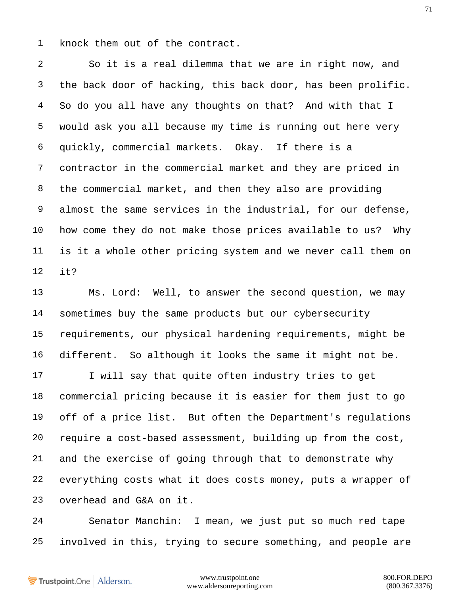knock them out of the contract.

 So it is a real dilemma that we are in right now, and the back door of hacking, this back door, has been prolific. So do you all have any thoughts on that? And with that I would ask you all because my time is running out here very quickly, commercial markets. Okay. If there is a contractor in the commercial market and they are priced in the commercial market, and then they also are providing almost the same services in the industrial, for our defense, how come they do not make those prices available to us? Why is it a whole other pricing system and we never call them on it?

 Ms. Lord: Well, to answer the second question, we may sometimes buy the same products but our cybersecurity requirements, our physical hardening requirements, might be different. So although it looks the same it might not be.

17 I will say that quite often industry tries to get commercial pricing because it is easier for them just to go off of a price list. But often the Department's regulations require a cost-based assessment, building up from the cost, and the exercise of going through that to demonstrate why everything costs what it does costs money, puts a wrapper of overhead and G&A on it.

 Senator Manchin: I mean, we just put so much red tape involved in this, trying to secure something, and people are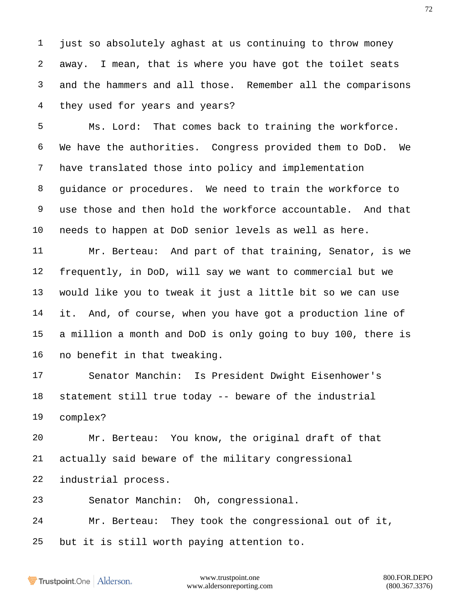just so absolutely aghast at us continuing to throw money away. I mean, that is where you have got the toilet seats and the hammers and all those. Remember all the comparisons they used for years and years?

 Ms. Lord: That comes back to training the workforce. We have the authorities. Congress provided them to DoD. We have translated those into policy and implementation guidance or procedures. We need to train the workforce to use those and then hold the workforce accountable. And that needs to happen at DoD senior levels as well as here.

 Mr. Berteau: And part of that training, Senator, is we frequently, in DoD, will say we want to commercial but we would like you to tweak it just a little bit so we can use it. And, of course, when you have got a production line of a million a month and DoD is only going to buy 100, there is no benefit in that tweaking.

 Senator Manchin: Is President Dwight Eisenhower's statement still true today -- beware of the industrial complex?

 Mr. Berteau: You know, the original draft of that actually said beware of the military congressional industrial process.

Senator Manchin: Oh, congressional.

 Mr. Berteau: They took the congressional out of it, but it is still worth paying attention to.

Trustpoint.One Alderson.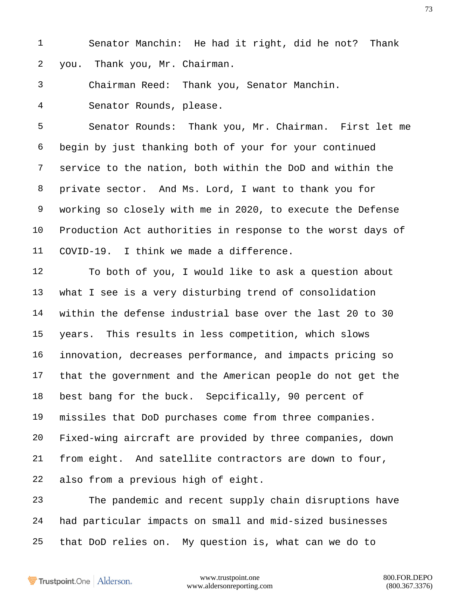Senator Manchin: He had it right, did he not? Thank you. Thank you, Mr. Chairman.

Chairman Reed: Thank you, Senator Manchin.

Senator Rounds, please.

 Senator Rounds: Thank you, Mr. Chairman. First let me begin by just thanking both of your for your continued service to the nation, both within the DoD and within the private sector. And Ms. Lord, I want to thank you for working so closely with me in 2020, to execute the Defense Production Act authorities in response to the worst days of COVID-19. I think we made a difference.

 To both of you, I would like to ask a question about what I see is a very disturbing trend of consolidation within the defense industrial base over the last 20 to 30 years. This results in less competition, which slows innovation, decreases performance, and impacts pricing so that the government and the American people do not get the best bang for the buck. Sepcifically, 90 percent of missiles that DoD purchases come from three companies. Fixed-wing aircraft are provided by three companies, down from eight. And satellite contractors are down to four, also from a previous high of eight.

 The pandemic and recent supply chain disruptions have had particular impacts on small and mid-sized businesses that DoD relies on. My question is, what can we do to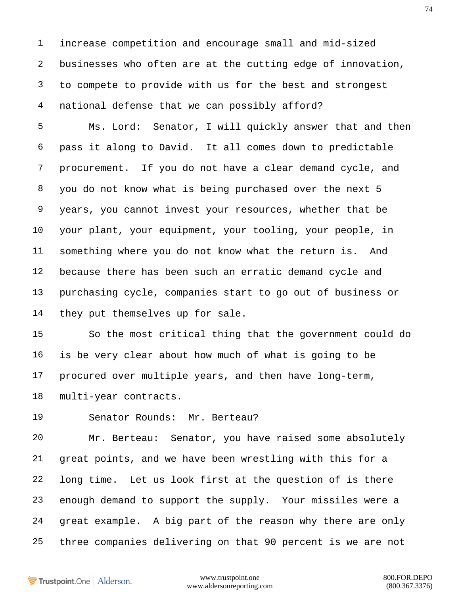increase competition and encourage small and mid-sized businesses who often are at the cutting edge of innovation, to compete to provide with us for the best and strongest national defense that we can possibly afford?

 Ms. Lord: Senator, I will quickly answer that and then pass it along to David. It all comes down to predictable procurement. If you do not have a clear demand cycle, and you do not know what is being purchased over the next 5 years, you cannot invest your resources, whether that be your plant, your equipment, your tooling, your people, in something where you do not know what the return is. And because there has been such an erratic demand cycle and purchasing cycle, companies start to go out of business or they put themselves up for sale.

 So the most critical thing that the government could do is be very clear about how much of what is going to be procured over multiple years, and then have long-term, multi-year contracts.

Senator Rounds: Mr. Berteau?

 Mr. Berteau: Senator, you have raised some absolutely great points, and we have been wrestling with this for a long time. Let us look first at the question of is there enough demand to support the supply. Your missiles were a great example. A big part of the reason why there are only three companies delivering on that 90 percent is we are not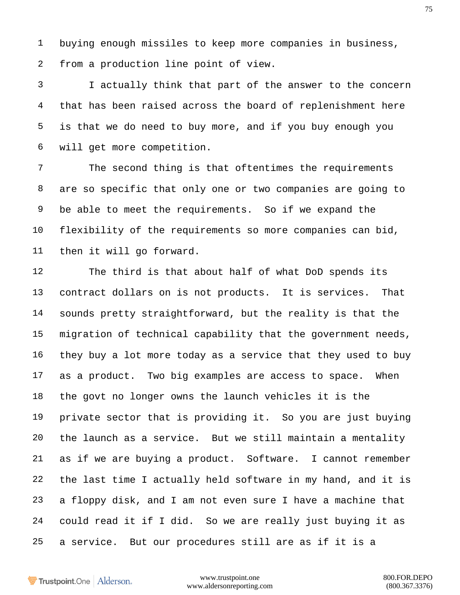buying enough missiles to keep more companies in business, from a production line point of view.

 I actually think that part of the answer to the concern that has been raised across the board of replenishment here is that we do need to buy more, and if you buy enough you will get more competition.

 The second thing is that oftentimes the requirements are so specific that only one or two companies are going to be able to meet the requirements. So if we expand the flexibility of the requirements so more companies can bid, then it will go forward.

 The third is that about half of what DoD spends its contract dollars on is not products. It is services. That sounds pretty straightforward, but the reality is that the migration of technical capability that the government needs, they buy a lot more today as a service that they used to buy as a product. Two big examples are access to space. When the govt no longer owns the launch vehicles it is the private sector that is providing it. So you are just buying the launch as a service. But we still maintain a mentality as if we are buying a product. Software. I cannot remember the last time I actually held software in my hand, and it is a floppy disk, and I am not even sure I have a machine that could read it if I did. So we are really just buying it as a service. But our procedures still are as if it is a

Trustpoint.One Alderson.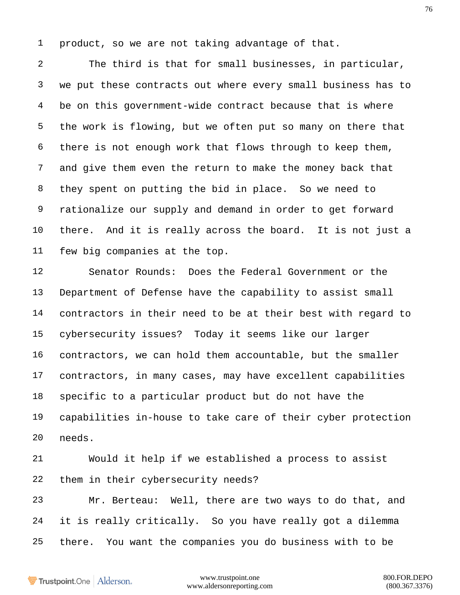product, so we are not taking advantage of that.

 The third is that for small businesses, in particular, we put these contracts out where every small business has to be on this government-wide contract because that is where the work is flowing, but we often put so many on there that there is not enough work that flows through to keep them, and give them even the return to make the money back that they spent on putting the bid in place. So we need to rationalize our supply and demand in order to get forward there. And it is really across the board. It is not just a few big companies at the top.

 Senator Rounds: Does the Federal Government or the Department of Defense have the capability to assist small contractors in their need to be at their best with regard to cybersecurity issues? Today it seems like our larger contractors, we can hold them accountable, but the smaller contractors, in many cases, may have excellent capabilities specific to a particular product but do not have the capabilities in-house to take care of their cyber protection needs.

 Would it help if we established a process to assist them in their cybersecurity needs?

 Mr. Berteau: Well, there are two ways to do that, and it is really critically. So you have really got a dilemma there. You want the companies you do business with to be

Trustpoint.One Alderson.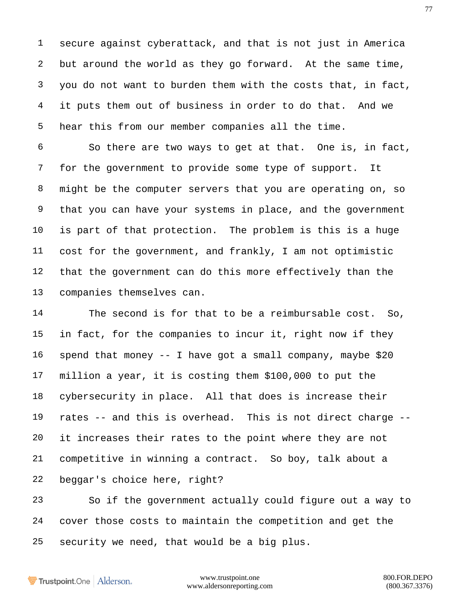secure against cyberattack, and that is not just in America but around the world as they go forward. At the same time, you do not want to burden them with the costs that, in fact, it puts them out of business in order to do that. And we hear this from our member companies all the time.

 So there are two ways to get at that. One is, in fact, for the government to provide some type of support. It might be the computer servers that you are operating on, so that you can have your systems in place, and the government is part of that protection. The problem is this is a huge cost for the government, and frankly, I am not optimistic that the government can do this more effectively than the companies themselves can.

 The second is for that to be a reimbursable cost. So, in fact, for the companies to incur it, right now if they spend that money -- I have got a small company, maybe \$20 million a year, it is costing them \$100,000 to put the cybersecurity in place. All that does is increase their rates -- and this is overhead. This is not direct charge -- it increases their rates to the point where they are not competitive in winning a contract. So boy, talk about a beggar's choice here, right?

 So if the government actually could figure out a way to cover those costs to maintain the competition and get the security we need, that would be a big plus.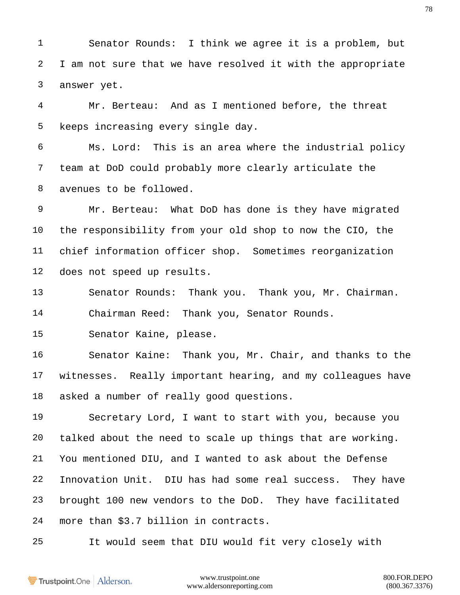Senator Rounds: I think we agree it is a problem, but I am not sure that we have resolved it with the appropriate answer yet.

 Mr. Berteau: And as I mentioned before, the threat keeps increasing every single day.

 Ms. Lord: This is an area where the industrial policy team at DoD could probably more clearly articulate the avenues to be followed.

 Mr. Berteau: What DoD has done is they have migrated the responsibility from your old shop to now the CIO, the chief information officer shop. Sometimes reorganization does not speed up results.

 Senator Rounds: Thank you. Thank you, Mr. Chairman. Chairman Reed: Thank you, Senator Rounds.

Senator Kaine, please.

 Senator Kaine: Thank you, Mr. Chair, and thanks to the witnesses. Really important hearing, and my colleagues have asked a number of really good questions.

 Secretary Lord, I want to start with you, because you talked about the need to scale up things that are working. You mentioned DIU, and I wanted to ask about the Defense Innovation Unit. DIU has had some real success. They have brought 100 new vendors to the DoD. They have facilitated more than \$3.7 billion in contracts.

It would seem that DIU would fit very closely with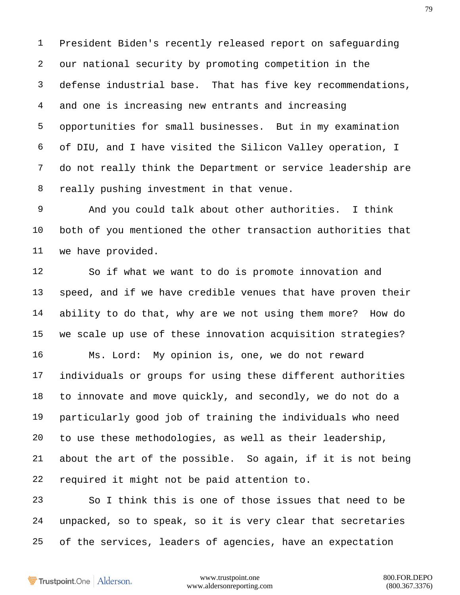President Biden's recently released report on safeguarding our national security by promoting competition in the defense industrial base. That has five key recommendations, and one is increasing new entrants and increasing opportunities for small businesses. But in my examination of DIU, and I have visited the Silicon Valley operation, I do not really think the Department or service leadership are really pushing investment in that venue.

 And you could talk about other authorities. I think both of you mentioned the other transaction authorities that we have provided.

 So if what we want to do is promote innovation and speed, and if we have credible venues that have proven their ability to do that, why are we not using them more? How do we scale up use of these innovation acquisition strategies? Ms. Lord: My opinion is, one, we do not reward individuals or groups for using these different authorities to innovate and move quickly, and secondly, we do not do a particularly good job of training the individuals who need to use these methodologies, as well as their leadership,

 about the art of the possible. So again, if it is not being required it might not be paid attention to.

 So I think this is one of those issues that need to be unpacked, so to speak, so it is very clear that secretaries of the services, leaders of agencies, have an expectation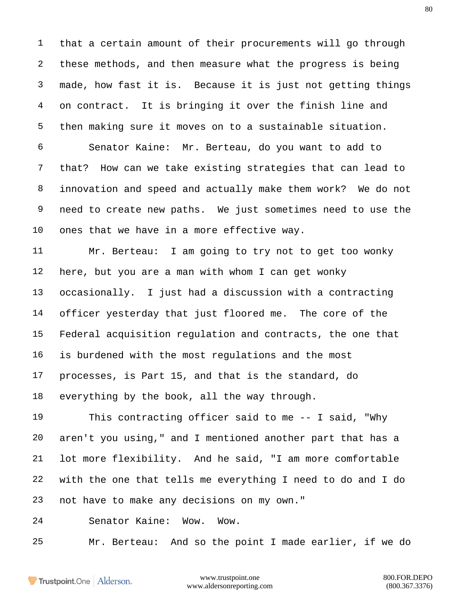that a certain amount of their procurements will go through these methods, and then measure what the progress is being made, how fast it is. Because it is just not getting things on contract. It is bringing it over the finish line and then making sure it moves on to a sustainable situation.

 Senator Kaine: Mr. Berteau, do you want to add to that? How can we take existing strategies that can lead to innovation and speed and actually make them work? We do not need to create new paths. We just sometimes need to use the ones that we have in a more effective way.

 Mr. Berteau: I am going to try not to get too wonky here, but you are a man with whom I can get wonky occasionally. I just had a discussion with a contracting officer yesterday that just floored me. The core of the Federal acquisition regulation and contracts, the one that is burdened with the most regulations and the most processes, is Part 15, and that is the standard, do everything by the book, all the way through.

 This contracting officer said to me -- I said, "Why aren't you using," and I mentioned another part that has a lot more flexibility. And he said, "I am more comfortable with the one that tells me everything I need to do and I do not have to make any decisions on my own."

Senator Kaine: Wow. Wow.

Mr. Berteau: And so the point I made earlier, if we do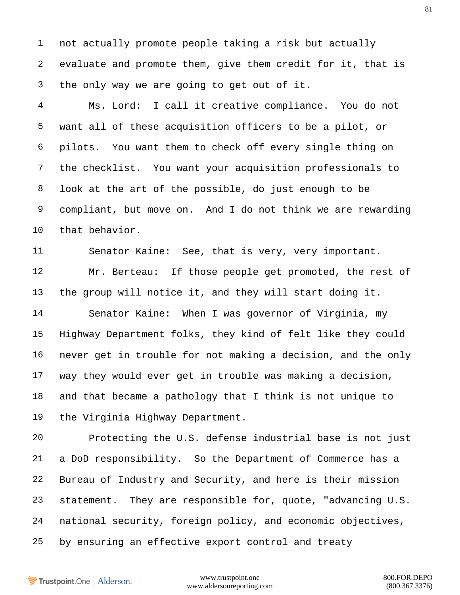not actually promote people taking a risk but actually evaluate and promote them, give them credit for it, that is the only way we are going to get out of it.

 Ms. Lord: I call it creative compliance. You do not want all of these acquisition officers to be a pilot, or pilots. You want them to check off every single thing on the checklist. You want your acquisition professionals to look at the art of the possible, do just enough to be compliant, but move on. And I do not think we are rewarding that behavior.

 Senator Kaine: See, that is very, very important. Mr. Berteau: If those people get promoted, the rest of the group will notice it, and they will start doing it.

 Senator Kaine: When I was governor of Virginia, my Highway Department folks, they kind of felt like they could never get in trouble for not making a decision, and the only way they would ever get in trouble was making a decision, and that became a pathology that I think is not unique to the Virginia Highway Department.

 Protecting the U.S. defense industrial base is not just a DoD responsibility. So the Department of Commerce has a Bureau of Industry and Security, and here is their mission statement. They are responsible for, quote, "advancing U.S. national security, foreign policy, and economic objectives, by ensuring an effective export control and treaty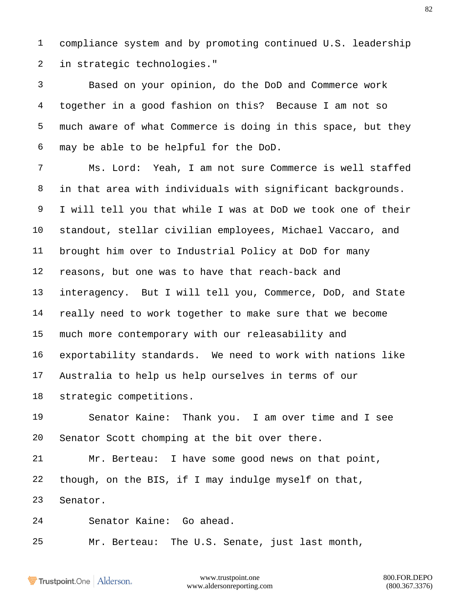compliance system and by promoting continued U.S. leadership in strategic technologies."

 Based on your opinion, do the DoD and Commerce work together in a good fashion on this? Because I am not so much aware of what Commerce is doing in this space, but they may be able to be helpful for the DoD.

 Ms. Lord: Yeah, I am not sure Commerce is well staffed in that area with individuals with significant backgrounds. I will tell you that while I was at DoD we took one of their standout, stellar civilian employees, Michael Vaccaro, and brought him over to Industrial Policy at DoD for many reasons, but one was to have that reach-back and interagency. But I will tell you, Commerce, DoD, and State really need to work together to make sure that we become much more contemporary with our releasability and exportability standards. We need to work with nations like Australia to help us help ourselves in terms of our strategic competitions.

 Senator Kaine: Thank you. I am over time and I see Senator Scott chomping at the bit over there.

 Mr. Berteau: I have some good news on that point, though, on the BIS, if I may indulge myself on that, Senator.

Senator Kaine: Go ahead.

Mr. Berteau: The U.S. Senate, just last month,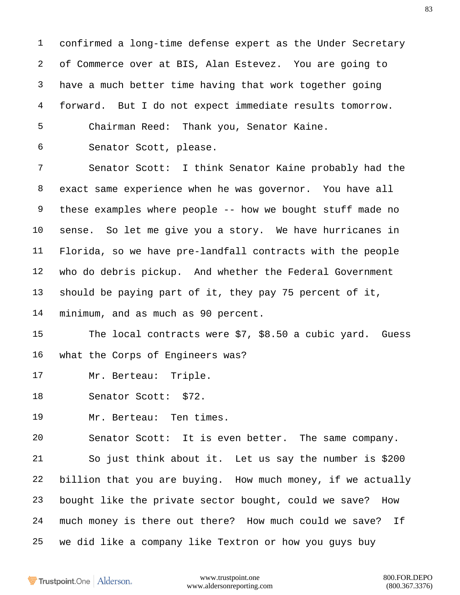confirmed a long-time defense expert as the Under Secretary of Commerce over at BIS, Alan Estevez. You are going to have a much better time having that work together going forward. But I do not expect immediate results tomorrow. Chairman Reed: Thank you, Senator Kaine.

Senator Scott, please.

 Senator Scott: I think Senator Kaine probably had the exact same experience when he was governor. You have all these examples where people -- how we bought stuff made no sense. So let me give you a story. We have hurricanes in Florida, so we have pre-landfall contracts with the people who do debris pickup. And whether the Federal Government should be paying part of it, they pay 75 percent of it, minimum, and as much as 90 percent.

 The local contracts were \$7, \$8.50 a cubic yard. Guess what the Corps of Engineers was?

Mr. Berteau: Triple.

Senator Scott: \$72.

Mr. Berteau: Ten times.

Senator Scott: It is even better. The same company.

 So just think about it. Let us say the number is \$200 billion that you are buying. How much money, if we actually bought like the private sector bought, could we save? How much money is there out there? How much could we save? If we did like a company like Textron or how you guys buy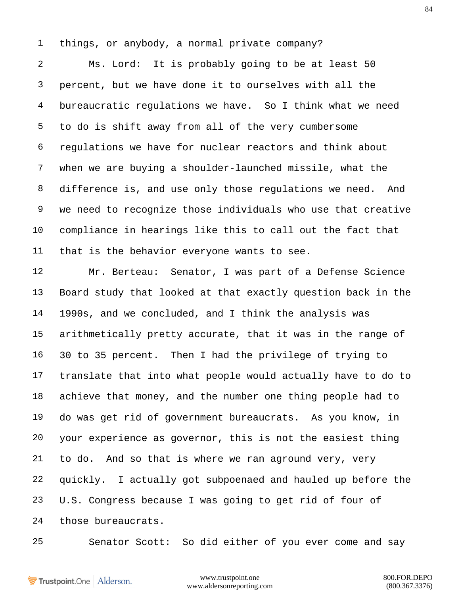things, or anybody, a normal private company?

 Ms. Lord: It is probably going to be at least 50 percent, but we have done it to ourselves with all the bureaucratic regulations we have. So I think what we need to do is shift away from all of the very cumbersome regulations we have for nuclear reactors and think about when we are buying a shoulder-launched missile, what the difference is, and use only those regulations we need. And we need to recognize those individuals who use that creative compliance in hearings like this to call out the fact that that is the behavior everyone wants to see.

 Mr. Berteau: Senator, I was part of a Defense Science Board study that looked at that exactly question back in the 1990s, and we concluded, and I think the analysis was arithmetically pretty accurate, that it was in the range of 30 to 35 percent. Then I had the privilege of trying to translate that into what people would actually have to do to achieve that money, and the number one thing people had to do was get rid of government bureaucrats. As you know, in your experience as governor, this is not the easiest thing to do. And so that is where we ran aground very, very quickly. I actually got subpoenaed and hauled up before the U.S. Congress because I was going to get rid of four of those bureaucrats.

Senator Scott: So did either of you ever come and say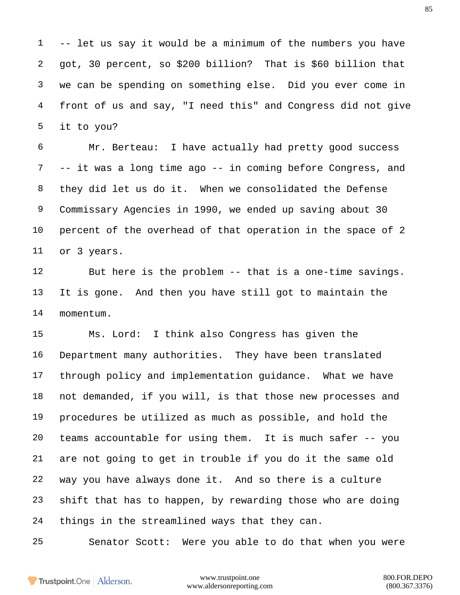-- let us say it would be a minimum of the numbers you have got, 30 percent, so \$200 billion? That is \$60 billion that we can be spending on something else. Did you ever come in front of us and say, "I need this" and Congress did not give it to you?

 Mr. Berteau: I have actually had pretty good success -- it was a long time ago -- in coming before Congress, and they did let us do it. When we consolidated the Defense Commissary Agencies in 1990, we ended up saving about 30 percent of the overhead of that operation in the space of 2 or 3 years.

 But here is the problem -- that is a one-time savings. It is gone. And then you have still got to maintain the momentum.

 Ms. Lord: I think also Congress has given the Department many authorities. They have been translated through policy and implementation guidance. What we have not demanded, if you will, is that those new processes and procedures be utilized as much as possible, and hold the teams accountable for using them. It is much safer -- you are not going to get in trouble if you do it the same old way you have always done it. And so there is a culture shift that has to happen, by rewarding those who are doing things in the streamlined ways that they can.

Senator Scott: Were you able to do that when you were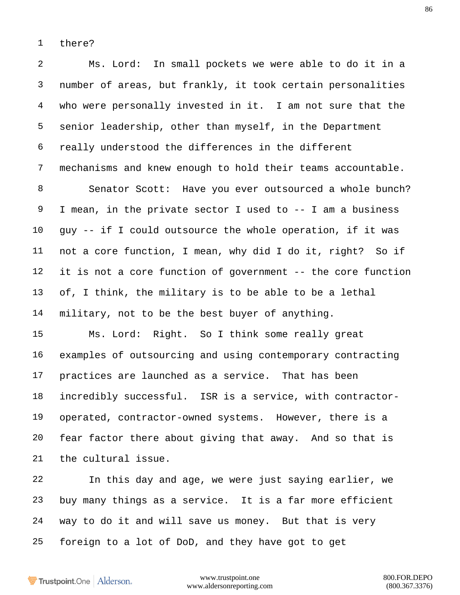there?

 Ms. Lord: In small pockets we were able to do it in a number of areas, but frankly, it took certain personalities who were personally invested in it. I am not sure that the senior leadership, other than myself, in the Department really understood the differences in the different mechanisms and knew enough to hold their teams accountable.

 Senator Scott: Have you ever outsourced a whole bunch? I mean, in the private sector I used to -- I am a business guy -- if I could outsource the whole operation, if it was not a core function, I mean, why did I do it, right? So if it is not a core function of government -- the core function of, I think, the military is to be able to be a lethal military, not to be the best buyer of anything.

 Ms. Lord: Right. So I think some really great examples of outsourcing and using contemporary contracting practices are launched as a service. That has been incredibly successful. ISR is a service, with contractor- operated, contractor-owned systems. However, there is a fear factor there about giving that away. And so that is the cultural issue.

 In this day and age, we were just saying earlier, we buy many things as a service. It is a far more efficient way to do it and will save us money. But that is very foreign to a lot of DoD, and they have got to get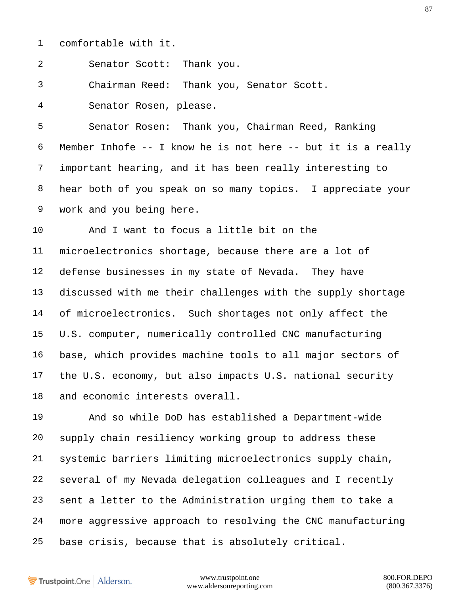comfortable with it.

Senator Scott: Thank you.

Chairman Reed: Thank you, Senator Scott.

Senator Rosen, please.

 Senator Rosen: Thank you, Chairman Reed, Ranking Member Inhofe -- I know he is not here -- but it is a really important hearing, and it has been really interesting to hear both of you speak on so many topics. I appreciate your work and you being here.

 And I want to focus a little bit on the microelectronics shortage, because there are a lot of defense businesses in my state of Nevada. They have discussed with me their challenges with the supply shortage of microelectronics. Such shortages not only affect the U.S. computer, numerically controlled CNC manufacturing base, which provides machine tools to all major sectors of the U.S. economy, but also impacts U.S. national security and economic interests overall.

 And so while DoD has established a Department-wide supply chain resiliency working group to address these systemic barriers limiting microelectronics supply chain, several of my Nevada delegation colleagues and I recently sent a letter to the Administration urging them to take a more aggressive approach to resolving the CNC manufacturing base crisis, because that is absolutely critical.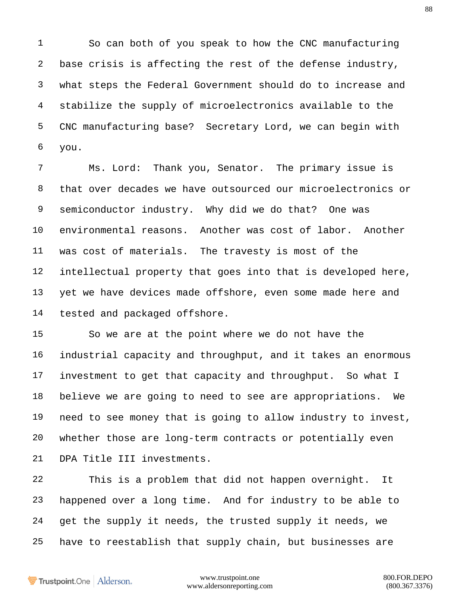So can both of you speak to how the CNC manufacturing base crisis is affecting the rest of the defense industry, what steps the Federal Government should do to increase and stabilize the supply of microelectronics available to the CNC manufacturing base? Secretary Lord, we can begin with you.

 Ms. Lord: Thank you, Senator. The primary issue is that over decades we have outsourced our microelectronics or semiconductor industry. Why did we do that? One was environmental reasons. Another was cost of labor. Another was cost of materials. The travesty is most of the intellectual property that goes into that is developed here, yet we have devices made offshore, even some made here and tested and packaged offshore.

 So we are at the point where we do not have the industrial capacity and throughput, and it takes an enormous investment to get that capacity and throughput. So what I believe we are going to need to see are appropriations. We need to see money that is going to allow industry to invest, whether those are long-term contracts or potentially even DPA Title III investments.

 This is a problem that did not happen overnight. It happened over a long time. And for industry to be able to get the supply it needs, the trusted supply it needs, we have to reestablish that supply chain, but businesses are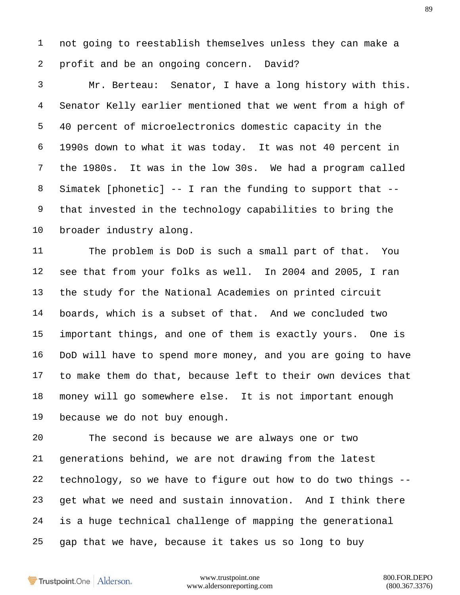not going to reestablish themselves unless they can make a profit and be an ongoing concern. David?

 Mr. Berteau: Senator, I have a long history with this. Senator Kelly earlier mentioned that we went from a high of 40 percent of microelectronics domestic capacity in the 1990s down to what it was today. It was not 40 percent in the 1980s. It was in the low 30s. We had a program called Simatek [phonetic] -- I ran the funding to support that -- that invested in the technology capabilities to bring the broader industry along.

 The problem is DoD is such a small part of that. You see that from your folks as well. In 2004 and 2005, I ran the study for the National Academies on printed circuit boards, which is a subset of that. And we concluded two important things, and one of them is exactly yours. One is DoD will have to spend more money, and you are going to have to make them do that, because left to their own devices that money will go somewhere else. It is not important enough because we do not buy enough.

 The second is because we are always one or two generations behind, we are not drawing from the latest technology, so we have to figure out how to do two things -- get what we need and sustain innovation. And I think there is a huge technical challenge of mapping the generational gap that we have, because it takes us so long to buy

Trustpoint.One Alderson.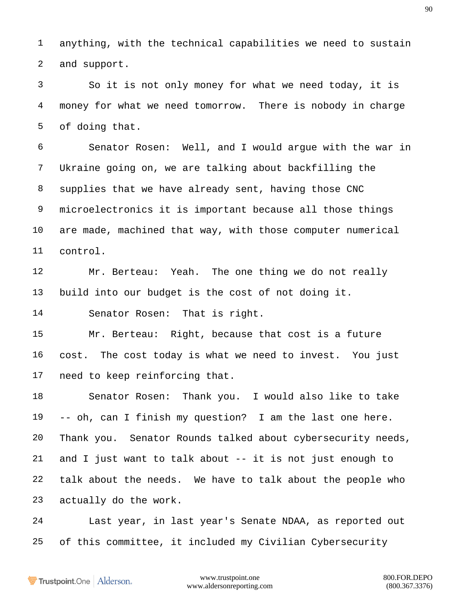anything, with the technical capabilities we need to sustain and support.

 So it is not only money for what we need today, it is money for what we need tomorrow. There is nobody in charge of doing that.

 Senator Rosen: Well, and I would argue with the war in Ukraine going on, we are talking about backfilling the supplies that we have already sent, having those CNC microelectronics it is important because all those things are made, machined that way, with those computer numerical control.

 Mr. Berteau: Yeah. The one thing we do not really build into our budget is the cost of not doing it.

Senator Rosen: That is right.

 Mr. Berteau: Right, because that cost is a future cost. The cost today is what we need to invest. You just need to keep reinforcing that.

 Senator Rosen: Thank you. I would also like to take -- oh, can I finish my question? I am the last one here. Thank you. Senator Rounds talked about cybersecurity needs, and I just want to talk about -- it is not just enough to talk about the needs. We have to talk about the people who actually do the work.

 Last year, in last year's Senate NDAA, as reported out of this committee, it included my Civilian Cybersecurity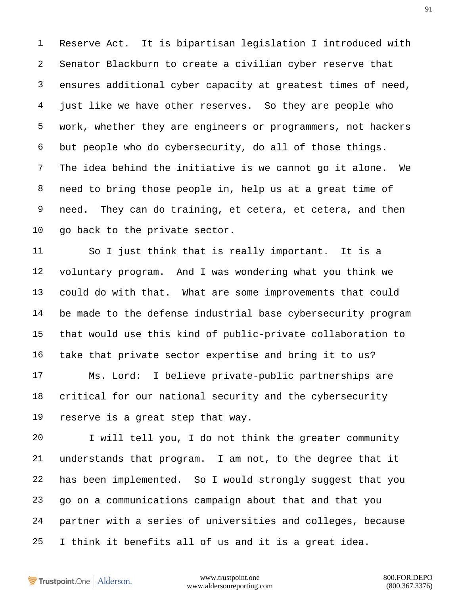Reserve Act. It is bipartisan legislation I introduced with Senator Blackburn to create a civilian cyber reserve that ensures additional cyber capacity at greatest times of need, just like we have other reserves. So they are people who work, whether they are engineers or programmers, not hackers but people who do cybersecurity, do all of those things. The idea behind the initiative is we cannot go it alone. We need to bring those people in, help us at a great time of need. They can do training, et cetera, et cetera, and then go back to the private sector.

 So I just think that is really important. It is a voluntary program. And I was wondering what you think we could do with that. What are some improvements that could be made to the defense industrial base cybersecurity program that would use this kind of public-private collaboration to take that private sector expertise and bring it to us?

 Ms. Lord: I believe private-public partnerships are critical for our national security and the cybersecurity reserve is a great step that way.

 I will tell you, I do not think the greater community understands that program. I am not, to the degree that it has been implemented. So I would strongly suggest that you go on a communications campaign about that and that you partner with a series of universities and colleges, because I think it benefits all of us and it is a great idea.